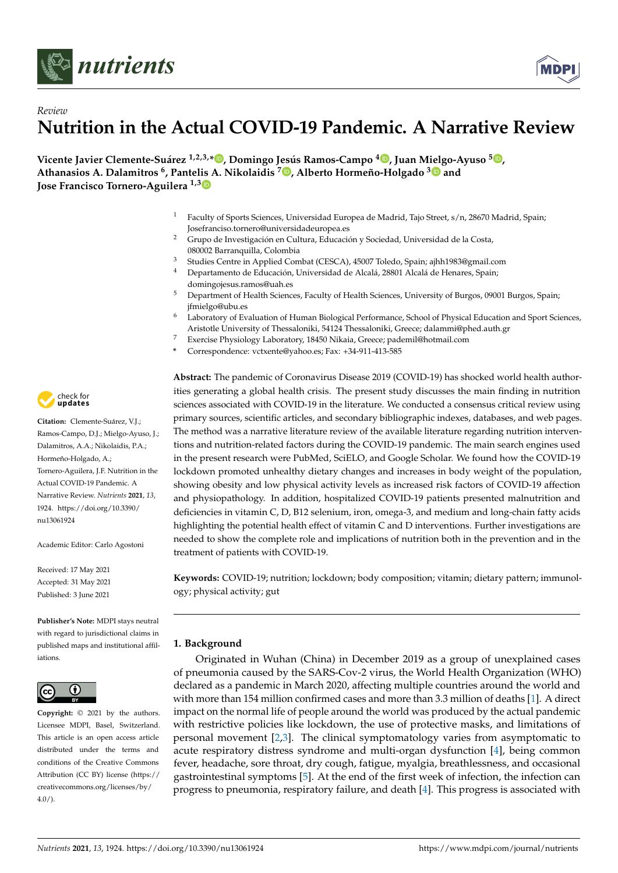



# *Review* **Nutrition in the Actual COVID-19 Pandemic. A Narrative Review**

**Vicente Javier Clemente-Suárez 1,2,3,\* [,](https://orcid.org/0000-0002-2397-2801) Domingo Jesús Ramos-Campo <sup>4</sup> [,](https://orcid.org/0000-0002-8890-4244) Juan M[ielg](https://orcid.org/0000-0001-7858-661X)o-Ayuso <sup>5</sup> [,](https://orcid.org/0000-0002-6554-4602) Athanasios A. Dalamitros <sup>6</sup> , Pantelis A. Nikolaidis <sup>7</sup> [,](https://orcid.org/0000-0001-8030-7122) Alberto Hormeño-Holgado <sup>3</sup> and Jose Francisco Tornero-Aguilera 1,[3](https://orcid.org/0000-0002-0747-8133)**

- <sup>1</sup> Faculty of Sports Sciences, Universidad Europea de Madrid, Tajo Street, s/n, 28670 Madrid, Spain; Josefranciso.tornero@universidadeuropea.es
- <sup>2</sup> Grupo de Investigación en Cultura, Educación y Sociedad, Universidad de la Costa, 080002 Barranquilla, Colombia
- <sup>3</sup> Studies Centre in Applied Combat (CESCA), 45007 Toledo, Spain; ajhh1983@gmail.com
- <sup>4</sup> Departamento de Educación, Universidad de Alcalá, 28801 Alcalá de Henares, Spain; domingojesus.ramos@uah.es
- <sup>5</sup> Department of Health Sciences, Faculty of Health Sciences, University of Burgos, 09001 Burgos, Spain; jfmielgo@ubu.es
- <sup>6</sup> Laboratory of Evaluation of Human Biological Performance, School of Physical Education and Sport Sciences, Aristotle University of Thessaloniki, 54124 Thessaloniki, Greece; dalammi@phed.auth.gr
- <sup>7</sup> Exercise Physiology Laboratory, 18450 Nikaia, Greece; pademil@hotmail.com
- **\*** Correspondence: vctxente@yahoo.es; Fax: +34-911-413-585

**Abstract:** The pandemic of Coronavirus Disease 2019 (COVID-19) has shocked world health authorities generating a global health crisis. The present study discusses the main finding in nutrition sciences associated with COVID-19 in the literature. We conducted a consensus critical review using primary sources, scientific articles, and secondary bibliographic indexes, databases, and web pages. The method was a narrative literature review of the available literature regarding nutrition interventions and nutrition-related factors during the COVID-19 pandemic. The main search engines used in the present research were PubMed, SciELO, and Google Scholar. We found how the COVID-19 lockdown promoted unhealthy dietary changes and increases in body weight of the population, showing obesity and low physical activity levels as increased risk factors of COVID-19 affection and physiopathology. In addition, hospitalized COVID-19 patients presented malnutrition and deficiencies in vitamin C, D, B12 selenium, iron, omega-3, and medium and long-chain fatty acids highlighting the potential health effect of vitamin C and D interventions. Further investigations are needed to show the complete role and implications of nutrition both in the prevention and in the treatment of patients with COVID-19.

**Keywords:** COVID-19; nutrition; lockdown; body composition; vitamin; dietary pattern; immunology; physical activity; gut

# **1. Background**

Originated in Wuhan (China) in December 2019 as a group of unexplained cases of pneumonia caused by the SARS-Cov-2 virus, the World Health Organization (WHO) declared as a pandemic in March 2020, affecting multiple countries around the world and with more than 154 million confirmed cases and more than 3.3 million of deaths [\[1\]](#page-13-0). A direct impact on the normal life of people around the world was produced by the actual pandemic with restrictive policies like lockdown, the use of protective masks, and limitations of personal movement [\[2](#page-13-1)[,3\]](#page-13-2). The clinical symptomatology varies from asymptomatic to acute respiratory distress syndrome and multi-organ dysfunction [\[4\]](#page-13-3), being common fever, headache, sore throat, dry cough, fatigue, myalgia, breathlessness, and occasional gastrointestinal symptoms [\[5\]](#page-13-4). At the end of the first week of infection, the infection can progress to pneumonia, respiratory failure, and death [\[4\]](#page-13-3). This progress is associated with



**Citation:** Clemente-Suárez, V.J.; Ramos-Campo, D.J.; Mielgo-Ayuso, J.; Dalamitros, A.A.; Nikolaidis, P.A.; Hormeño-Holgado, A.; Tornero-Aguilera, J.F. Nutrition in the Actual COVID-19 Pandemic. A Narrative Review. *Nutrients* **2021**, *13*, 1924. [https://doi.org/10.3390/](https://doi.org/10.3390/nu13061924) [nu13061924](https://doi.org/10.3390/nu13061924)

Academic Editor: Carlo Agostoni

Received: 17 May 2021 Accepted: 31 May 2021 Published: 3 June 2021

**Publisher's Note:** MDPI stays neutral with regard to jurisdictional claims in published maps and institutional affiliations.



**Copyright:** © 2021 by the authors. Licensee MDPI, Basel, Switzerland. This article is an open access article distributed under the terms and conditions of the Creative Commons Attribution (CC BY) license (https:/[/](https://creativecommons.org/licenses/by/4.0/) [creativecommons.org/licenses/by/](https://creativecommons.org/licenses/by/4.0/)  $4.0/$ ).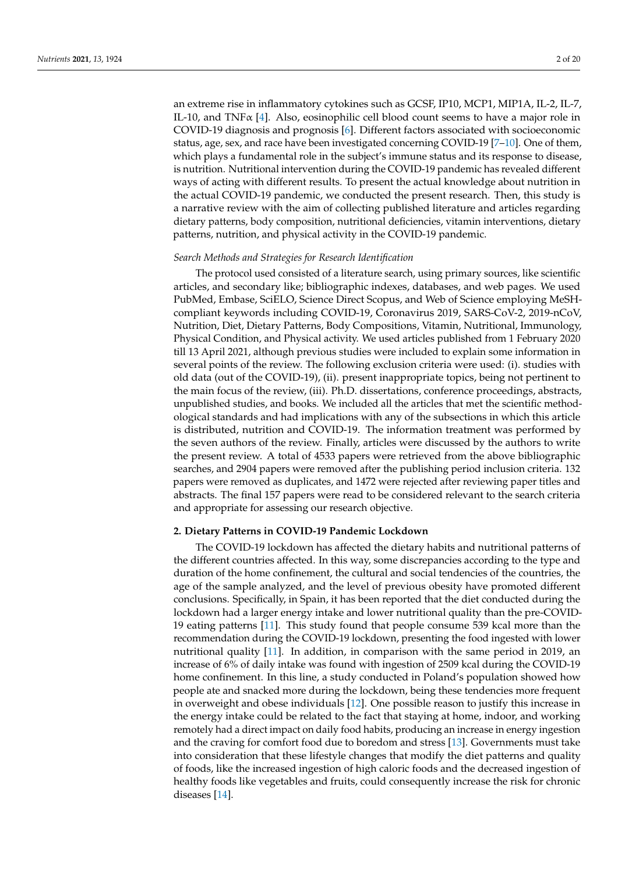an extreme rise in inflammatory cytokines such as GCSF, IP10, MCP1, MIP1A, IL-2, IL-7, IL-10, and TNF $\alpha$  [\[4\]](#page-13-3). Also, eosinophilic cell blood count seems to have a major role in COVID-19 diagnosis and prognosis [\[6\]](#page-13-5). Different factors associated with socioeconomic status, age, sex, and race have been investigated concerning COVID-19 [\[7](#page-13-6)[–10\]](#page-13-7). One of them, which plays a fundamental role in the subject's immune status and its response to disease, is nutrition. Nutritional intervention during the COVID-19 pandemic has revealed different ways of acting with different results. To present the actual knowledge about nutrition in the actual COVID-19 pandemic, we conducted the present research. Then, this study is a narrative review with the aim of collecting published literature and articles regarding dietary patterns, body composition, nutritional deficiencies, vitamin interventions, dietary patterns, nutrition, and physical activity in the COVID-19 pandemic.

#### *Search Methods and Strategies for Research Identification*

The protocol used consisted of a literature search, using primary sources, like scientific articles, and secondary like; bibliographic indexes, databases, and web pages. We used PubMed, Embase, SciELO, Science Direct Scopus, and Web of Science employing MeSHcompliant keywords including COVID-19, Coronavirus 2019, SARS-CoV-2, 2019-nCoV, Nutrition, Diet, Dietary Patterns, Body Compositions, Vitamin, Nutritional, Immunology, Physical Condition, and Physical activity. We used articles published from 1 February 2020 till 13 April 2021, although previous studies were included to explain some information in several points of the review. The following exclusion criteria were used: (i). studies with old data (out of the COVID-19), (ii). present inappropriate topics, being not pertinent to the main focus of the review, (iii). Ph.D. dissertations, conference proceedings, abstracts, unpublished studies, and books. We included all the articles that met the scientific methodological standards and had implications with any of the subsections in which this article is distributed, nutrition and COVID-19. The information treatment was performed by the seven authors of the review. Finally, articles were discussed by the authors to write the present review. A total of 4533 papers were retrieved from the above bibliographic searches, and 2904 papers were removed after the publishing period inclusion criteria. 132 papers were removed as duplicates, and 1472 were rejected after reviewing paper titles and abstracts. The final 157 papers were read to be considered relevant to the search criteria and appropriate for assessing our research objective.

## **2. Dietary Patterns in COVID-19 Pandemic Lockdown**

The COVID-19 lockdown has affected the dietary habits and nutritional patterns of the different countries affected. In this way, some discrepancies according to the type and duration of the home confinement, the cultural and social tendencies of the countries, the age of the sample analyzed, and the level of previous obesity have promoted different conclusions. Specifically, in Spain, it has been reported that the diet conducted during the lockdown had a larger energy intake and lower nutritional quality than the pre-COVID-19 eating patterns [\[11\]](#page-13-8). This study found that people consume 539 kcal more than the recommendation during the COVID-19 lockdown, presenting the food ingested with lower nutritional quality [\[11\]](#page-13-8). In addition, in comparison with the same period in 2019, an increase of 6% of daily intake was found with ingestion of 2509 kcal during the COVID-19 home confinement. In this line, a study conducted in Poland's population showed how people ate and snacked more during the lockdown, being these tendencies more frequent in overweight and obese individuals [\[12\]](#page-13-9). One possible reason to justify this increase in the energy intake could be related to the fact that staying at home, indoor, and working remotely had a direct impact on daily food habits, producing an increase in energy ingestion and the craving for comfort food due to boredom and stress [\[13\]](#page-13-10). Governments must take into consideration that these lifestyle changes that modify the diet patterns and quality of foods, like the increased ingestion of high caloric foods and the decreased ingestion of healthy foods like vegetables and fruits, could consequently increase the risk for chronic diseases [\[14\]](#page-13-11).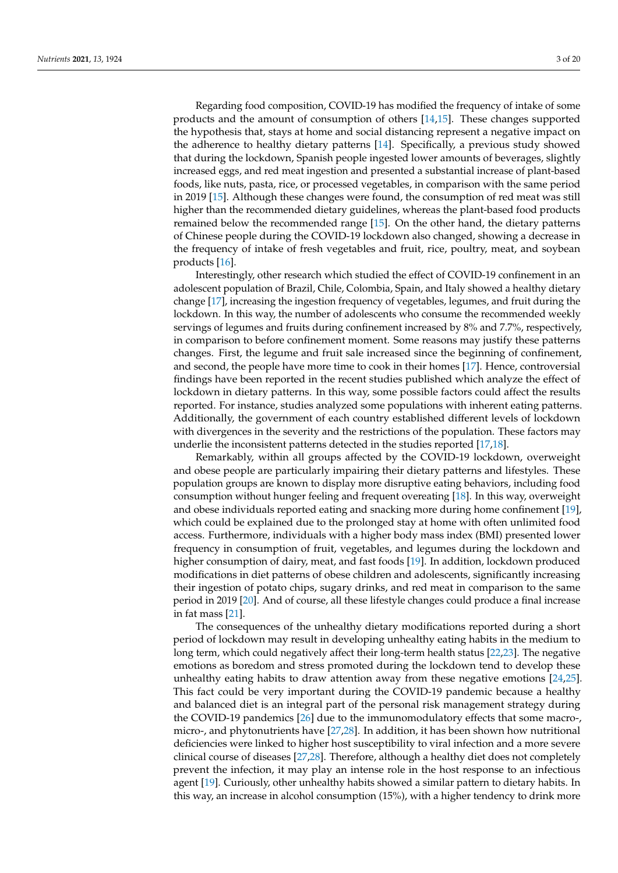Regarding food composition, COVID-19 has modified the frequency of intake of some products and the amount of consumption of others [\[14,](#page-13-11)[15\]](#page-13-12). These changes supported the hypothesis that, stays at home and social distancing represent a negative impact on the adherence to healthy dietary patterns [\[14\]](#page-13-11). Specifically, a previous study showed that during the lockdown, Spanish people ingested lower amounts of beverages, slightly increased eggs, and red meat ingestion and presented a substantial increase of plant-based foods, like nuts, pasta, rice, or processed vegetables, in comparison with the same period in 2019 [\[15\]](#page-13-12). Although these changes were found, the consumption of red meat was still higher than the recommended dietary guidelines, whereas the plant-based food products remained below the recommended range [\[15\]](#page-13-12). On the other hand, the dietary patterns of Chinese people during the COVID-19 lockdown also changed, showing a decrease in the frequency of intake of fresh vegetables and fruit, rice, poultry, meat, and soybean products [\[16\]](#page-13-13).

Interestingly, other research which studied the effect of COVID-19 confinement in an adolescent population of Brazil, Chile, Colombia, Spain, and Italy showed a healthy dietary change [\[17\]](#page-13-14), increasing the ingestion frequency of vegetables, legumes, and fruit during the lockdown. In this way, the number of adolescents who consume the recommended weekly servings of legumes and fruits during confinement increased by 8% and 7.7%, respectively, in comparison to before confinement moment. Some reasons may justify these patterns changes. First, the legume and fruit sale increased since the beginning of confinement, and second, the people have more time to cook in their homes [\[17\]](#page-13-14). Hence, controversial findings have been reported in the recent studies published which analyze the effect of lockdown in dietary patterns. In this way, some possible factors could affect the results reported. For instance, studies analyzed some populations with inherent eating patterns. Additionally, the government of each country established different levels of lockdown with divergences in the severity and the restrictions of the population. These factors may underlie the inconsistent patterns detected in the studies reported [\[17](#page-13-14)[,18\]](#page-13-15).

Remarkably, within all groups affected by the COVID-19 lockdown, overweight and obese people are particularly impairing their dietary patterns and lifestyles. These population groups are known to display more disruptive eating behaviors, including food consumption without hunger feeling and frequent overeating [\[18\]](#page-13-15). In this way, overweight and obese individuals reported eating and snacking more during home confinement [\[19\]](#page-13-16), which could be explained due to the prolonged stay at home with often unlimited food access. Furthermore, individuals with a higher body mass index (BMI) presented lower frequency in consumption of fruit, vegetables, and legumes during the lockdown and higher consumption of dairy, meat, and fast foods [\[19\]](#page-13-16). In addition, lockdown produced modifications in diet patterns of obese children and adolescents, significantly increasing their ingestion of potato chips, sugary drinks, and red meat in comparison to the same period in 2019 [\[20\]](#page-13-17). And of course, all these lifestyle changes could produce a final increase in fat mass [\[21\]](#page-13-18).

The consequences of the unhealthy dietary modifications reported during a short period of lockdown may result in developing unhealthy eating habits in the medium to long term, which could negatively affect their long-term health status [\[22](#page-13-19)[,23\]](#page-14-0). The negative emotions as boredom and stress promoted during the lockdown tend to develop these unhealthy eating habits to draw attention away from these negative emotions [\[24,](#page-14-1)[25\]](#page-14-2). This fact could be very important during the COVID-19 pandemic because a healthy and balanced diet is an integral part of the personal risk management strategy during the COVID-19 pandemics [\[26\]](#page-14-3) due to the immunomodulatory effects that some macro-, micro-, and phytonutrients have [\[27,](#page-14-4)[28\]](#page-14-5). In addition, it has been shown how nutritional deficiencies were linked to higher host susceptibility to viral infection and a more severe clinical course of diseases [\[27,](#page-14-4)[28\]](#page-14-5). Therefore, although a healthy diet does not completely prevent the infection, it may play an intense role in the host response to an infectious agent [\[19\]](#page-13-16). Curiously, other unhealthy habits showed a similar pattern to dietary habits. In this way, an increase in alcohol consumption (15%), with a higher tendency to drink more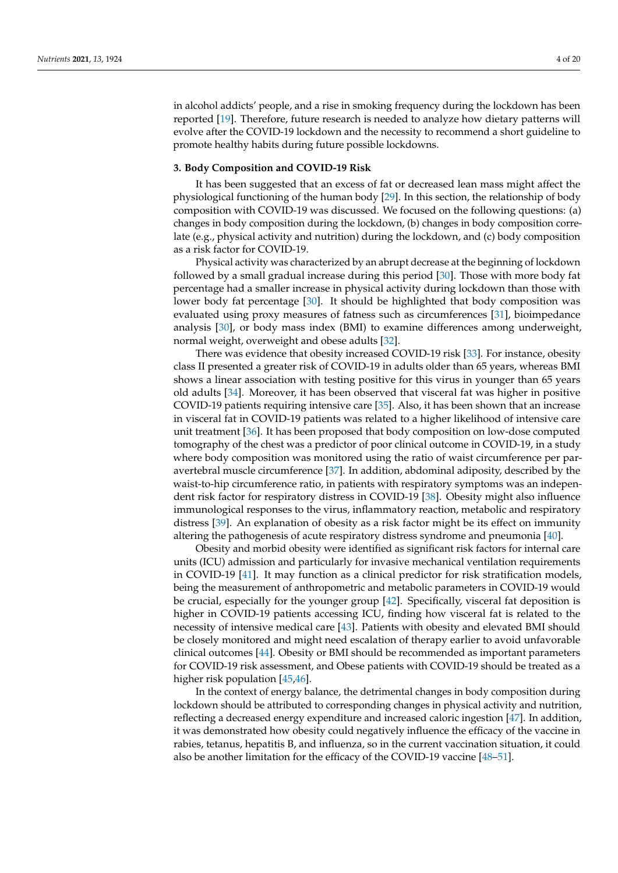in alcohol addicts' people, and a rise in smoking frequency during the lockdown has been reported [\[19\]](#page-13-16). Therefore, future research is needed to analyze how dietary patterns will evolve after the COVID-19 lockdown and the necessity to recommend a short guideline to promote healthy habits during future possible lockdowns.

# **3. Body Composition and COVID-19 Risk**

It has been suggested that an excess of fat or decreased lean mass might affect the physiological functioning of the human body [\[29\]](#page-14-6). In this section, the relationship of body composition with COVID-19 was discussed. We focused on the following questions: (a) changes in body composition during the lockdown, (b) changes in body composition correlate (e.g., physical activity and nutrition) during the lockdown, and (c) body composition as a risk factor for COVID-19.

Physical activity was characterized by an abrupt decrease at the beginning of lockdown followed by a small gradual increase during this period [\[30\]](#page-14-7). Those with more body fat percentage had a smaller increase in physical activity during lockdown than those with lower body fat percentage [\[30\]](#page-14-7). It should be highlighted that body composition was evaluated using proxy measures of fatness such as circumferences [\[31\]](#page-14-8), bioimpedance analysis [\[30\]](#page-14-7), or body mass index (BMI) to examine differences among underweight, normal weight, overweight and obese adults [\[32\]](#page-14-9).

There was evidence that obesity increased COVID-19 risk [\[33\]](#page-14-10). For instance, obesity class II presented a greater risk of COVID-19 in adults older than 65 years, whereas BMI shows a linear association with testing positive for this virus in younger than 65 years old adults [\[34\]](#page-14-11). Moreover, it has been observed that visceral fat was higher in positive COVID-19 patients requiring intensive care [\[35\]](#page-14-12). Also, it has been shown that an increase in visceral fat in COVID-19 patients was related to a higher likelihood of intensive care unit treatment [\[36\]](#page-14-13). It has been proposed that body composition on low-dose computed tomography of the chest was a predictor of poor clinical outcome in COVID-19, in a study where body composition was monitored using the ratio of waist circumference per paravertebral muscle circumference [\[37\]](#page-14-14). In addition, abdominal adiposity, described by the waist-to-hip circumference ratio, in patients with respiratory symptoms was an independent risk factor for respiratory distress in COVID-19 [\[38\]](#page-14-15). Obesity might also influence immunological responses to the virus, inflammatory reaction, metabolic and respiratory distress [\[39\]](#page-14-16). An explanation of obesity as a risk factor might be its effect on immunity altering the pathogenesis of acute respiratory distress syndrome and pneumonia [\[40\]](#page-14-17).

Obesity and morbid obesity were identified as significant risk factors for internal care units (ICU) admission and particularly for invasive mechanical ventilation requirements in COVID-19 [\[41\]](#page-14-18). It may function as a clinical predictor for risk stratification models, being the measurement of anthropometric and metabolic parameters in COVID-19 would be crucial, especially for the younger group [\[42\]](#page-14-19). Specifically, visceral fat deposition is higher in COVID-19 patients accessing ICU, finding how visceral fat is related to the necessity of intensive medical care [\[43\]](#page-14-20). Patients with obesity and elevated BMI should be closely monitored and might need escalation of therapy earlier to avoid unfavorable clinical outcomes [\[44\]](#page-14-21). Obesity or BMI should be recommended as important parameters for COVID-19 risk assessment, and Obese patients with COVID-19 should be treated as a higher risk population [\[45,](#page-14-22)[46\]](#page-14-23).

In the context of energy balance, the detrimental changes in body composition during lockdown should be attributed to corresponding changes in physical activity and nutrition, reflecting a decreased energy expenditure and increased caloric ingestion [\[47\]](#page-14-24). In addition, it was demonstrated how obesity could negatively influence the efficacy of the vaccine in rabies, tetanus, hepatitis B, and influenza, so in the current vaccination situation, it could also be another limitation for the efficacy of the COVID-19 vaccine [\[48–](#page-14-25)[51\]](#page-15-0).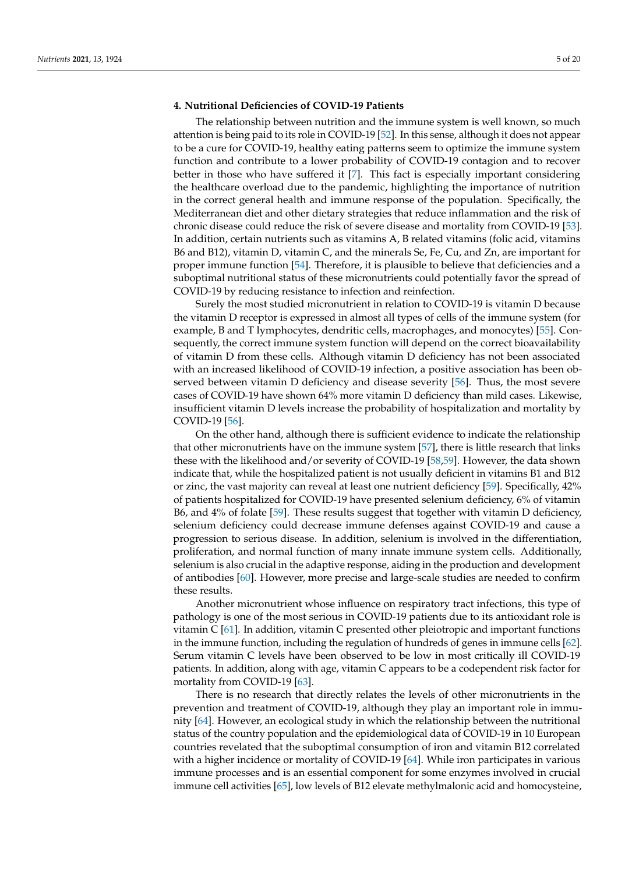# **4. Nutritional Deficiencies of COVID-19 Patients**

The relationship between nutrition and the immune system is well known, so much attention is being paid to its role in COVID-19 [\[52\]](#page-15-1). In this sense, although it does not appear to be a cure for COVID-19, healthy eating patterns seem to optimize the immune system function and contribute to a lower probability of COVID-19 contagion and to recover better in those who have suffered it [\[7\]](#page-13-6). This fact is especially important considering the healthcare overload due to the pandemic, highlighting the importance of nutrition in the correct general health and immune response of the population. Specifically, the Mediterranean diet and other dietary strategies that reduce inflammation and the risk of chronic disease could reduce the risk of severe disease and mortality from COVID-19 [\[53\]](#page-15-2). In addition, certain nutrients such as vitamins A, B related vitamins (folic acid, vitamins B6 and B12), vitamin D, vitamin C, and the minerals Se, Fe, Cu, and Zn, are important for proper immune function [\[54\]](#page-15-3). Therefore, it is plausible to believe that deficiencies and a suboptimal nutritional status of these micronutrients could potentially favor the spread of COVID-19 by reducing resistance to infection and reinfection.

Surely the most studied micronutrient in relation to COVID-19 is vitamin D because the vitamin D receptor is expressed in almost all types of cells of the immune system (for example, B and T lymphocytes, dendritic cells, macrophages, and monocytes) [\[55\]](#page-15-4). Consequently, the correct immune system function will depend on the correct bioavailability of vitamin D from these cells. Although vitamin D deficiency has not been associated with an increased likelihood of COVID-19 infection, a positive association has been observed between vitamin D deficiency and disease severity [\[56\]](#page-15-5). Thus, the most severe cases of COVID-19 have shown 64% more vitamin D deficiency than mild cases. Likewise, insufficient vitamin D levels increase the probability of hospitalization and mortality by COVID-19 [\[56\]](#page-15-5).

On the other hand, although there is sufficient evidence to indicate the relationship that other micronutrients have on the immune system [\[57\]](#page-15-6), there is little research that links these with the likelihood and/or severity of COVID-19 [\[58,](#page-15-7)[59\]](#page-15-8). However, the data shown indicate that, while the hospitalized patient is not usually deficient in vitamins B1 and B12 or zinc, the vast majority can reveal at least one nutrient deficiency [\[59\]](#page-15-8). Specifically, 42% of patients hospitalized for COVID-19 have presented selenium deficiency, 6% of vitamin B6, and 4% of folate [\[59\]](#page-15-8). These results suggest that together with vitamin D deficiency, selenium deficiency could decrease immune defenses against COVID-19 and cause a progression to serious disease. In addition, selenium is involved in the differentiation, proliferation, and normal function of many innate immune system cells. Additionally, selenium is also crucial in the adaptive response, aiding in the production and development of antibodies [\[60\]](#page-15-9). However, more precise and large-scale studies are needed to confirm these results.

Another micronutrient whose influence on respiratory tract infections, this type of pathology is one of the most serious in COVID-19 patients due to its antioxidant role is vitamin C [\[61\]](#page-15-10). In addition, vitamin C presented other pleiotropic and important functions in the immune function, including the regulation of hundreds of genes in immune cells [\[62\]](#page-15-11). Serum vitamin C levels have been observed to be low in most critically ill COVID-19 patients. In addition, along with age, vitamin C appears to be a codependent risk factor for mortality from COVID-19 [\[63\]](#page-15-12).

There is no research that directly relates the levels of other micronutrients in the prevention and treatment of COVID-19, although they play an important role in immunity [\[64\]](#page-15-13). However, an ecological study in which the relationship between the nutritional status of the country population and the epidemiological data of COVID-19 in 10 European countries revelated that the suboptimal consumption of iron and vitamin B12 correlated with a higher incidence or mortality of COVID-19 [\[64\]](#page-15-13). While iron participates in various immune processes and is an essential component for some enzymes involved in crucial immune cell activities [\[65\]](#page-15-14), low levels of B12 elevate methylmalonic acid and homocysteine,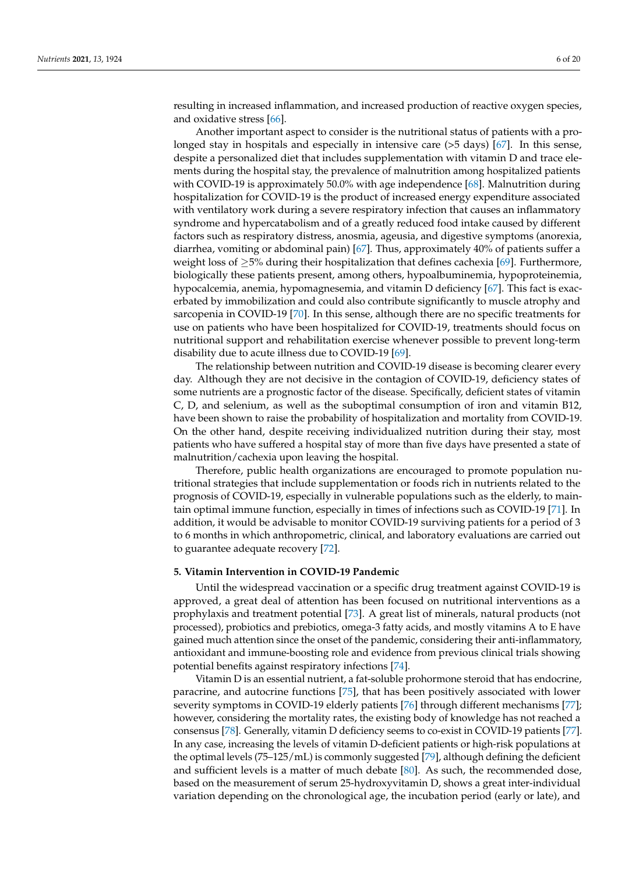resulting in increased inflammation, and increased production of reactive oxygen species, and oxidative stress [\[66\]](#page-15-15).

Another important aspect to consider is the nutritional status of patients with a prolonged stay in hospitals and especially in intensive care (>5 days) [\[67\]](#page-15-16). In this sense, despite a personalized diet that includes supplementation with vitamin D and trace elements during the hospital stay, the prevalence of malnutrition among hospitalized patients with COVID-19 is approximately 50.0% with age independence [\[68\]](#page-15-17). Malnutrition during hospitalization for COVID-19 is the product of increased energy expenditure associated with ventilatory work during a severe respiratory infection that causes an inflammatory syndrome and hypercatabolism and of a greatly reduced food intake caused by different factors such as respiratory distress, anosmia, ageusia, and digestive symptoms (anorexia, diarrhea, vomiting or abdominal pain) [\[67\]](#page-15-16). Thus, approximately 40% of patients suffer a weight loss of ≥5% during their hospitalization that defines cachexia [\[69\]](#page-15-18). Furthermore, biologically these patients present, among others, hypoalbuminemia, hypoproteinemia, hypocalcemia, anemia, hypomagnesemia, and vitamin D deficiency [\[67\]](#page-15-16). This fact is exacerbated by immobilization and could also contribute significantly to muscle atrophy and sarcopenia in COVID-19 [\[70\]](#page-15-19). In this sense, although there are no specific treatments for use on patients who have been hospitalized for COVID-19, treatments should focus on nutritional support and rehabilitation exercise whenever possible to prevent long-term disability due to acute illness due to COVID-19 [\[69\]](#page-15-18).

The relationship between nutrition and COVID-19 disease is becoming clearer every day. Although they are not decisive in the contagion of COVID-19, deficiency states of some nutrients are a prognostic factor of the disease. Specifically, deficient states of vitamin C, D, and selenium, as well as the suboptimal consumption of iron and vitamin B12, have been shown to raise the probability of hospitalization and mortality from COVID-19. On the other hand, despite receiving individualized nutrition during their stay, most patients who have suffered a hospital stay of more than five days have presented a state of malnutrition/cachexia upon leaving the hospital.

Therefore, public health organizations are encouraged to promote population nutritional strategies that include supplementation or foods rich in nutrients related to the prognosis of COVID-19, especially in vulnerable populations such as the elderly, to maintain optimal immune function, especially in times of infections such as COVID-19 [\[71\]](#page-15-20). In addition, it would be advisable to monitor COVID-19 surviving patients for a period of 3 to 6 months in which anthropometric, clinical, and laboratory evaluations are carried out to guarantee adequate recovery [\[72\]](#page-15-21).

## **5. Vitamin Intervention in COVID-19 Pandemic**

Until the widespread vaccination or a specific drug treatment against COVID-19 is approved, a great deal of attention has been focused on nutritional interventions as a prophylaxis and treatment potential [\[73\]](#page-15-22). A great list of minerals, natural products (not processed), probiotics and prebiotics, omega-3 fatty acids, and mostly vitamins A to E have gained much attention since the onset of the pandemic, considering their anti-inflammatory, antioxidant and immune-boosting role and evidence from previous clinical trials showing potential benefits against respiratory infections [\[74\]](#page-15-23).

Vitamin D is an essential nutrient, a fat-soluble prohormone steroid that has endocrine, paracrine, and autocrine functions [\[75\]](#page-15-24), that has been positively associated with lower severity symptoms in COVID-19 elderly patients [\[76\]](#page-15-25) through different mechanisms [\[77\]](#page-15-26); however, considering the mortality rates, the existing body of knowledge has not reached a consensus [\[78\]](#page-16-0). Generally, vitamin D deficiency seems to co-exist in COVID-19 patients [\[77\]](#page-15-26). In any case, increasing the levels of vitamin D-deficient patients or high-risk populations at the optimal levels (75–125/mL) is commonly suggested [\[79\]](#page-16-1), although defining the deficient and sufficient levels is a matter of much debate [\[80\]](#page-16-2). As such, the recommended dose, based on the measurement of serum 25-hydroxyvitamin D, shows a great inter-individual variation depending on the chronological age, the incubation period (early or late), and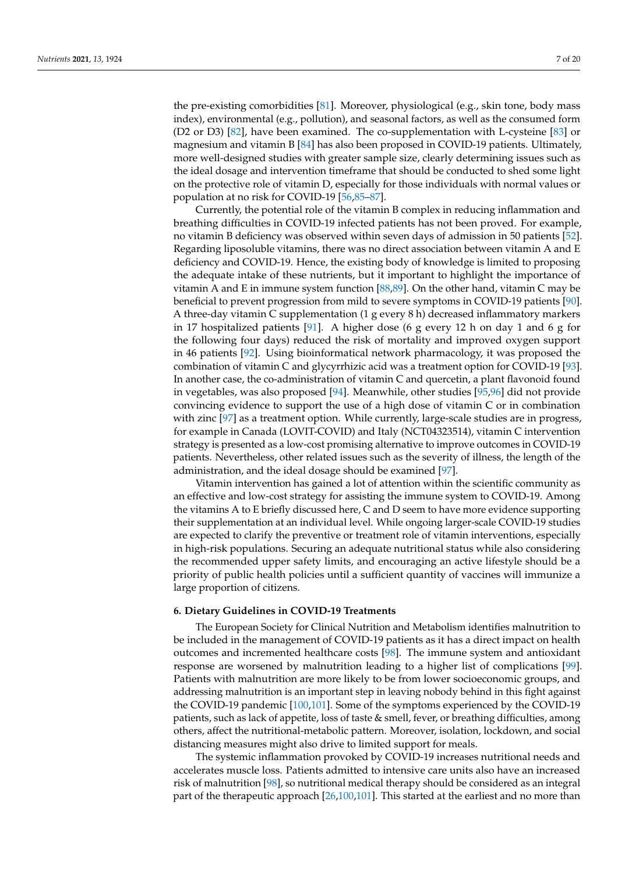the pre-existing comorbidities [\[81\]](#page-16-3). Moreover, physiological (e.g., skin tone, body mass index), environmental (e.g., pollution), and seasonal factors, as well as the consumed form (D2 or D3) [\[82\]](#page-16-4), have been examined. The co-supplementation with L-cysteine [\[83\]](#page-16-5) or magnesium and vitamin B [\[84\]](#page-16-6) has also been proposed in COVID-19 patients. Ultimately, more well-designed studies with greater sample size, clearly determining issues such as the ideal dosage and intervention timeframe that should be conducted to shed some light on the protective role of vitamin D, especially for those individuals with normal values or population at no risk for COVID-19 [\[56,](#page-15-5)[85–](#page-16-7)[87\]](#page-16-8).

Currently, the potential role of the vitamin B complex in reducing inflammation and breathing difficulties in COVID-19 infected patients has not been proved. For example, no vitamin B deficiency was observed within seven days of admission in 50 patients [\[52\]](#page-15-1). Regarding liposoluble vitamins, there was no direct association between vitamin A and E deficiency and COVID-19. Hence, the existing body of knowledge is limited to proposing the adequate intake of these nutrients, but it important to highlight the importance of vitamin A and E in immune system function  $[88,89]$  $[88,89]$ . On the other hand, vitamin C may be beneficial to prevent progression from mild to severe symptoms in COVID-19 patients [\[90\]](#page-16-11). A three-day vitamin C supplementation (1 g every 8 h) decreased inflammatory markers in 17 hospitalized patients [\[91\]](#page-16-12). A higher dose (6 g every 12 h on day 1 and 6 g for the following four days) reduced the risk of mortality and improved oxygen support in 46 patients [\[92\]](#page-16-13). Using bioinformatical network pharmacology, it was proposed the combination of vitamin C and glycyrrhizic acid was a treatment option for COVID-19 [\[93\]](#page-16-14). In another case, the co-administration of vitamin C and quercetin, a plant flavonoid found in vegetables, was also proposed [\[94\]](#page-16-15). Meanwhile, other studies [\[95,](#page-16-16)[96\]](#page-16-17) did not provide convincing evidence to support the use of a high dose of vitamin C or in combination with zinc [\[97\]](#page-16-18) as a treatment option. While currently, large-scale studies are in progress, for example in Canada (LOVIT-COVID) and Italy (NCT04323514), vitamin C intervention strategy is presented as a low-cost promising alternative to improve outcomes in COVID-19 patients. Nevertheless, other related issues such as the severity of illness, the length of the administration, and the ideal dosage should be examined [\[97\]](#page-16-18).

Vitamin intervention has gained a lot of attention within the scientific community as an effective and low-cost strategy for assisting the immune system to COVID-19. Among the vitamins A to E briefly discussed here, C and D seem to have more evidence supporting their supplementation at an individual level. While ongoing larger-scale COVID-19 studies are expected to clarify the preventive or treatment role of vitamin interventions, especially in high-risk populations. Securing an adequate nutritional status while also considering the recommended upper safety limits, and encouraging an active lifestyle should be a priority of public health policies until a sufficient quantity of vaccines will immunize a large proportion of citizens.

#### **6. Dietary Guidelines in COVID-19 Treatments**

The European Society for Clinical Nutrition and Metabolism identifies malnutrition to be included in the management of COVID-19 patients as it has a direct impact on health outcomes and incremented healthcare costs [\[98\]](#page-16-19). The immune system and antioxidant response are worsened by malnutrition leading to a higher list of complications [\[99\]](#page-16-20). Patients with malnutrition are more likely to be from lower socioeconomic groups, and addressing malnutrition is an important step in leaving nobody behind in this fight against the COVID-19 pandemic [\[100,](#page-16-21)[101\]](#page-16-22). Some of the symptoms experienced by the COVID-19 patients, such as lack of appetite, loss of taste & smell, fever, or breathing difficulties, among others, affect the nutritional-metabolic pattern. Moreover, isolation, lockdown, and social distancing measures might also drive to limited support for meals.

The systemic inflammation provoked by COVID-19 increases nutritional needs and accelerates muscle loss. Patients admitted to intensive care units also have an increased risk of malnutrition [\[98\]](#page-16-19), so nutritional medical therapy should be considered as an integral part of the therapeutic approach [\[26](#page-14-3)[,100](#page-16-21)[,101\]](#page-16-22). This started at the earliest and no more than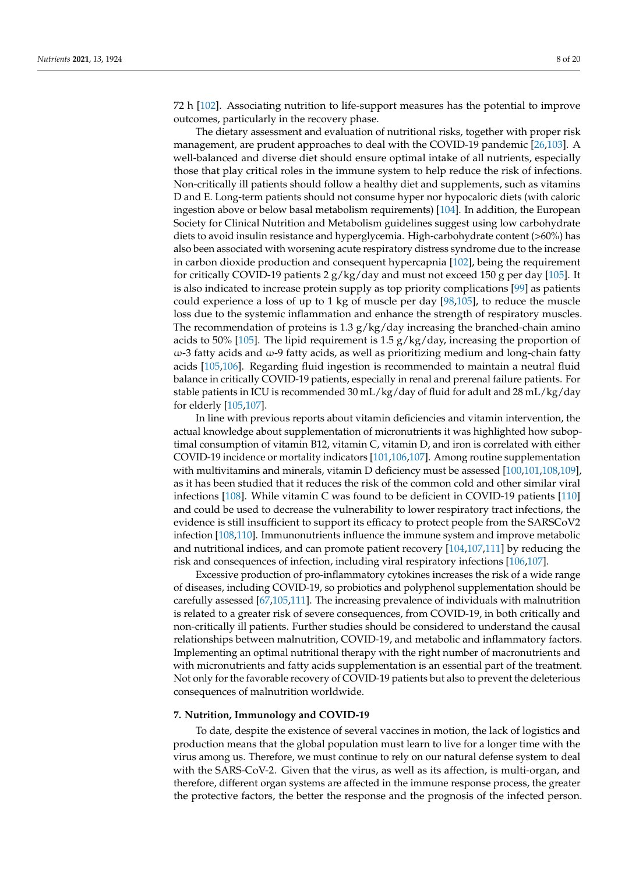72 h [\[102\]](#page-16-23). Associating nutrition to life-support measures has the potential to improve outcomes, particularly in the recovery phase.

The dietary assessment and evaluation of nutritional risks, together with proper risk management, are prudent approaches to deal with the COVID-19 pandemic [\[26](#page-14-3)[,103\]](#page-16-24). A well-balanced and diverse diet should ensure optimal intake of all nutrients, especially those that play critical roles in the immune system to help reduce the risk of infections. Non-critically ill patients should follow a healthy diet and supplements, such as vitamins D and E. Long-term patients should not consume hyper nor hypocaloric diets (with caloric ingestion above or below basal metabolism requirements) [\[104\]](#page-16-25). In addition, the European Society for Clinical Nutrition and Metabolism guidelines suggest using low carbohydrate diets to avoid insulin resistance and hyperglycemia. High-carbohydrate content (>60%) has also been associated with worsening acute respiratory distress syndrome due to the increase in carbon dioxide production and consequent hypercapnia [\[102\]](#page-16-23), being the requirement for critically COVID-19 patients  $2 g/kg/day$  and must not exceed 150 g per day [\[105\]](#page-16-26). It is also indicated to increase protein supply as top priority complications [\[99\]](#page-16-20) as patients could experience a loss of up to 1 kg of muscle per day [\[98,](#page-16-19)[105\]](#page-16-26), to reduce the muscle loss due to the systemic inflammation and enhance the strength of respiratory muscles. The recommendation of proteins is  $1.3 g/kg/day$  increasing the branched-chain amino acids to 50% [\[105\]](#page-16-26). The lipid requirement is 1.5  $g/kg/day$ , increasing the proportion of  $ω$ -3 fatty acids and  $ω$ -9 fatty acids, as well as prioritizing medium and long-chain fatty acids [\[105](#page-16-26)[,106\]](#page-17-0). Regarding fluid ingestion is recommended to maintain a neutral fluid balance in critically COVID-19 patients, especially in renal and prerenal failure patients. For stable patients in ICU is recommended 30 mL/kg/day of fluid for adult and 28 mL/kg/day for elderly [\[105,](#page-16-26)[107\]](#page-17-1).

In line with previous reports about vitamin deficiencies and vitamin intervention, the actual knowledge about supplementation of micronutrients it was highlighted how suboptimal consumption of vitamin B12, vitamin C, vitamin D, and iron is correlated with either COVID-19 incidence or mortality indicators [\[101,](#page-16-22)[106](#page-17-0)[,107\]](#page-17-1). Among routine supplementation with multivitamins and minerals, vitamin D deficiency must be assessed [\[100,](#page-16-21)[101](#page-16-22)[,108](#page-17-2)[,109\]](#page-17-3), as it has been studied that it reduces the risk of the common cold and other similar viral infections [\[108\]](#page-17-2). While vitamin C was found to be deficient in COVID-19 patients [\[110\]](#page-17-4) and could be used to decrease the vulnerability to lower respiratory tract infections, the evidence is still insufficient to support its efficacy to protect people from the SARSCoV2 infection [\[108,](#page-17-2)[110\]](#page-17-4). Immunonutrients influence the immune system and improve metabolic and nutritional indices, and can promote patient recovery [\[104,](#page-16-25)[107,](#page-17-1)[111\]](#page-17-5) by reducing the risk and consequences of infection, including viral respiratory infections [\[106,](#page-17-0)[107\]](#page-17-1).

Excessive production of pro-inflammatory cytokines increases the risk of a wide range of diseases, including COVID-19, so probiotics and polyphenol supplementation should be carefully assessed [\[67,](#page-15-16)[105,](#page-16-26)[111\]](#page-17-5). The increasing prevalence of individuals with malnutrition is related to a greater risk of severe consequences, from COVID-19, in both critically and non-critically ill patients. Further studies should be considered to understand the causal relationships between malnutrition, COVID-19, and metabolic and inflammatory factors. Implementing an optimal nutritional therapy with the right number of macronutrients and with micronutrients and fatty acids supplementation is an essential part of the treatment. Not only for the favorable recovery of COVID-19 patients but also to prevent the deleterious consequences of malnutrition worldwide.

#### **7. Nutrition, Immunology and COVID-19**

To date, despite the existence of several vaccines in motion, the lack of logistics and production means that the global population must learn to live for a longer time with the virus among us. Therefore, we must continue to rely on our natural defense system to deal with the SARS-CoV-2. Given that the virus, as well as its affection, is multi-organ, and therefore, different organ systems are affected in the immune response process, the greater the protective factors, the better the response and the prognosis of the infected person.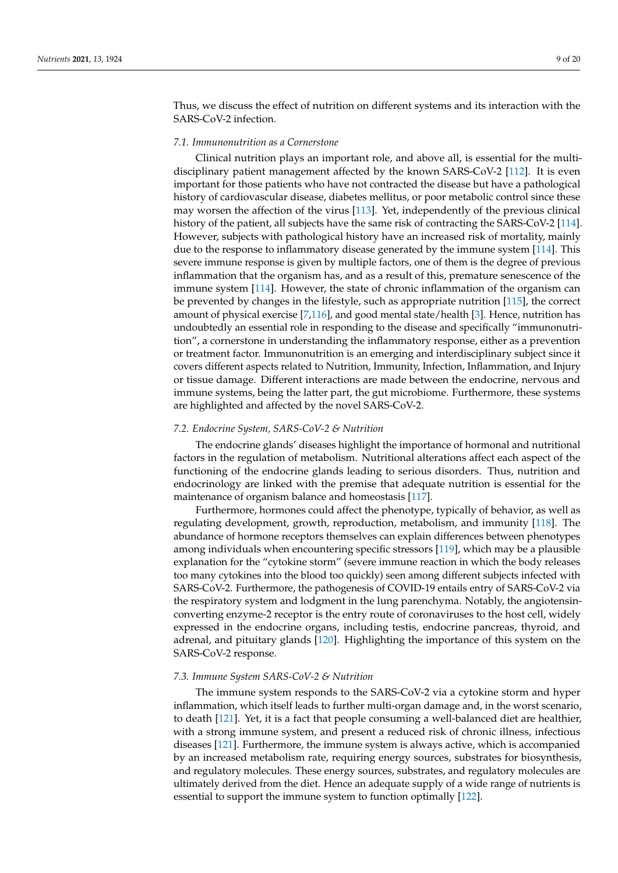Thus, we discuss the effect of nutrition on different systems and its interaction with the SARS-CoV-2 infection.

# *7.1. Immunonutrition as a Cornerstone*

Clinical nutrition plays an important role, and above all, is essential for the multidisciplinary patient management affected by the known SARS-CoV-2 [\[112\]](#page-17-6). It is even important for those patients who have not contracted the disease but have a pathological history of cardiovascular disease, diabetes mellitus, or poor metabolic control since these may worsen the affection of the virus [\[113\]](#page-17-7). Yet, independently of the previous clinical history of the patient, all subjects have the same risk of contracting the SARS-CoV-2 [\[114\]](#page-17-8). However, subjects with pathological history have an increased risk of mortality, mainly due to the response to inflammatory disease generated by the immune system [\[114\]](#page-17-8). This severe immune response is given by multiple factors, one of them is the degree of previous inflammation that the organism has, and as a result of this, premature senescence of the immune system [\[114\]](#page-17-8). However, the state of chronic inflammation of the organism can be prevented by changes in the lifestyle, such as appropriate nutrition [\[115\]](#page-17-9), the correct amount of physical exercise [\[7,](#page-13-6)[116\]](#page-17-10), and good mental state/health [\[3\]](#page-13-2). Hence, nutrition has undoubtedly an essential role in responding to the disease and specifically "immunonutrition", a cornerstone in understanding the inflammatory response, either as a prevention or treatment factor. Immunonutrition is an emerging and interdisciplinary subject since it covers different aspects related to Nutrition, Immunity, Infection, Inflammation, and Injury or tissue damage. Different interactions are made between the endocrine, nervous and immune systems, being the latter part, the gut microbiome. Furthermore, these systems are highlighted and affected by the novel SARS-CoV-2.

# *7.2. Endocrine System, SARS-CoV-2 & Nutrition*

The endocrine glands' diseases highlight the importance of hormonal and nutritional factors in the regulation of metabolism. Nutritional alterations affect each aspect of the functioning of the endocrine glands leading to serious disorders. Thus, nutrition and endocrinology are linked with the premise that adequate nutrition is essential for the maintenance of organism balance and homeostasis [\[117\]](#page-17-11).

Furthermore, hormones could affect the phenotype, typically of behavior, as well as regulating development, growth, reproduction, metabolism, and immunity [\[118\]](#page-17-12). The abundance of hormone receptors themselves can explain differences between phenotypes among individuals when encountering specific stressors [\[119\]](#page-17-13), which may be a plausible explanation for the "cytokine storm" (severe immune reaction in which the body releases too many cytokines into the blood too quickly) seen among different subjects infected with SARS-CoV-2. Furthermore, the pathogenesis of COVID-19 entails entry of SARS-CoV-2 via the respiratory system and lodgment in the lung parenchyma. Notably, the angiotensinconverting enzyme-2 receptor is the entry route of coronaviruses to the host cell, widely expressed in the endocrine organs, including testis, endocrine pancreas, thyroid, and adrenal, and pituitary glands [\[120\]](#page-17-14). Highlighting the importance of this system on the SARS-CoV-2 response.

#### *7.3. Immune System SARS-CoV-2 & Nutrition*

The immune system responds to the SARS-CoV-2 via a cytokine storm and hyper inflammation, which itself leads to further multi-organ damage and, in the worst scenario, to death [\[121\]](#page-17-15). Yet, it is a fact that people consuming a well-balanced diet are healthier, with a strong immune system, and present a reduced risk of chronic illness, infectious diseases [\[121\]](#page-17-15). Furthermore, the immune system is always active, which is accompanied by an increased metabolism rate, requiring energy sources, substrates for biosynthesis, and regulatory molecules. These energy sources, substrates, and regulatory molecules are ultimately derived from the diet. Hence an adequate supply of a wide range of nutrients is essential to support the immune system to function optimally [\[122\]](#page-17-16).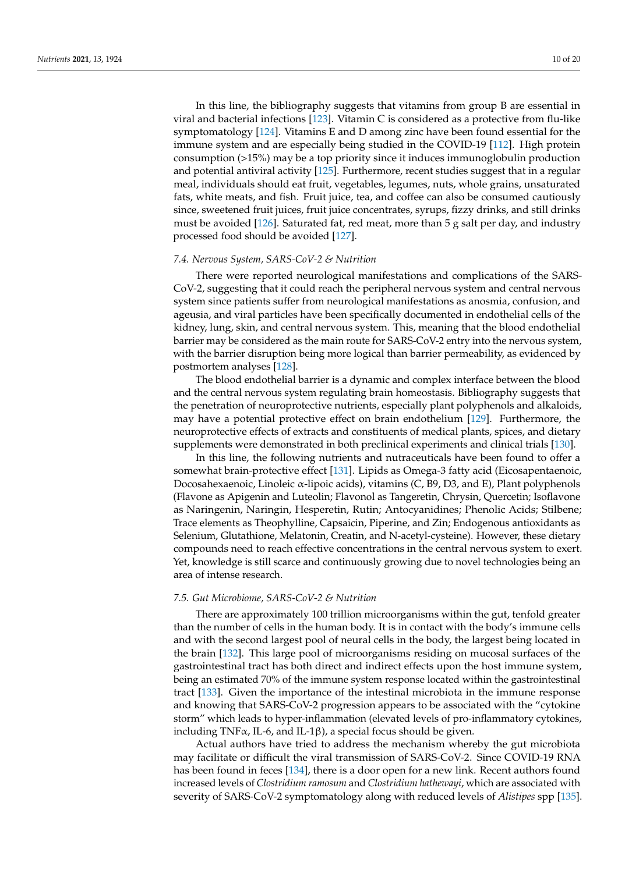In this line, the bibliography suggests that vitamins from group B are essential in viral and bacterial infections [\[123\]](#page-17-17). Vitamin C is considered as a protective from flu-like symptomatology [\[124\]](#page-17-18). Vitamins E and D among zinc have been found essential for the immune system and are especially being studied in the COVID-19 [\[112\]](#page-17-6). High protein consumption (>15%) may be a top priority since it induces immunoglobulin production and potential antiviral activity [\[125\]](#page-17-19). Furthermore, recent studies suggest that in a regular meal, individuals should eat fruit, vegetables, legumes, nuts, whole grains, unsaturated fats, white meats, and fish. Fruit juice, tea, and coffee can also be consumed cautiously since, sweetened fruit juices, fruit juice concentrates, syrups, fizzy drinks, and still drinks must be avoided  $[126]$ . Saturated fat, red meat, more than 5 g salt per day, and industry processed food should be avoided [\[127\]](#page-17-21).

#### *7.4. Nervous System, SARS-CoV-2 & Nutrition*

There were reported neurological manifestations and complications of the SARS-CoV-2, suggesting that it could reach the peripheral nervous system and central nervous system since patients suffer from neurological manifestations as anosmia, confusion, and ageusia, and viral particles have been specifically documented in endothelial cells of the kidney, lung, skin, and central nervous system. This, meaning that the blood endothelial barrier may be considered as the main route for SARS-CoV-2 entry into the nervous system, with the barrier disruption being more logical than barrier permeability, as evidenced by postmortem analyses [\[128\]](#page-17-22).

The blood endothelial barrier is a dynamic and complex interface between the blood and the central nervous system regulating brain homeostasis. Bibliography suggests that the penetration of neuroprotective nutrients, especially plant polyphenols and alkaloids, may have a potential protective effect on brain endothelium [\[129\]](#page-17-23). Furthermore, the neuroprotective effects of extracts and constituents of medical plants, spices, and dietary supplements were demonstrated in both preclinical experiments and clinical trials [\[130\]](#page-17-24).

In this line, the following nutrients and nutraceuticals have been found to offer a somewhat brain-protective effect [\[131\]](#page-17-25). Lipids as Omega-3 fatty acid (Eicosapentaenoic, Docosahexaenoic, Linoleic α-lipoic acids), vitamins (C, B9, D3, and E), Plant polyphenols (Flavone as Apigenin and Luteolin; Flavonol as Tangeretin, Chrysin, Quercetin; Isoflavone as Naringenin, Naringin, Hesperetin, Rutin; Antocyanidines; Phenolic Acids; Stilbene; Trace elements as Theophylline, Capsaicin, Piperine, and Zin; Endogenous antioxidants as Selenium, Glutathione, Melatonin, Creatin, and N-acetyl-cysteine). However, these dietary compounds need to reach effective concentrations in the central nervous system to exert. Yet, knowledge is still scarce and continuously growing due to novel technologies being an area of intense research.

## *7.5. Gut Microbiome, SARS-CoV-2 & Nutrition*

There are approximately 100 trillion microorganisms within the gut, tenfold greater than the number of cells in the human body. It is in contact with the body's immune cells and with the second largest pool of neural cells in the body, the largest being located in the brain [\[132\]](#page-17-26). This large pool of microorganisms residing on mucosal surfaces of the gastrointestinal tract has both direct and indirect effects upon the host immune system, being an estimated 70% of the immune system response located within the gastrointestinal tract [\[133\]](#page-17-27). Given the importance of the intestinal microbiota in the immune response and knowing that SARS-CoV-2 progression appears to be associated with the "cytokine storm" which leads to hyper-inflammation (elevated levels of pro-inflammatory cytokines, including TNF $\alpha$ , IL-6, and IL-1 $\beta$ ), a special focus should be given.

Actual authors have tried to address the mechanism whereby the gut microbiota may facilitate or difficult the viral transmission of SARS-CoV-2. Since COVID-19 RNA has been found in feces [\[134\]](#page-17-28), there is a door open for a new link. Recent authors found increased levels of *Clostridium ramosum* and *Clostridium hathewayi*, which are associated with severity of SARS-CoV-2 symptomatology along with reduced levels of *Alistipes* spp [\[135\]](#page-17-29).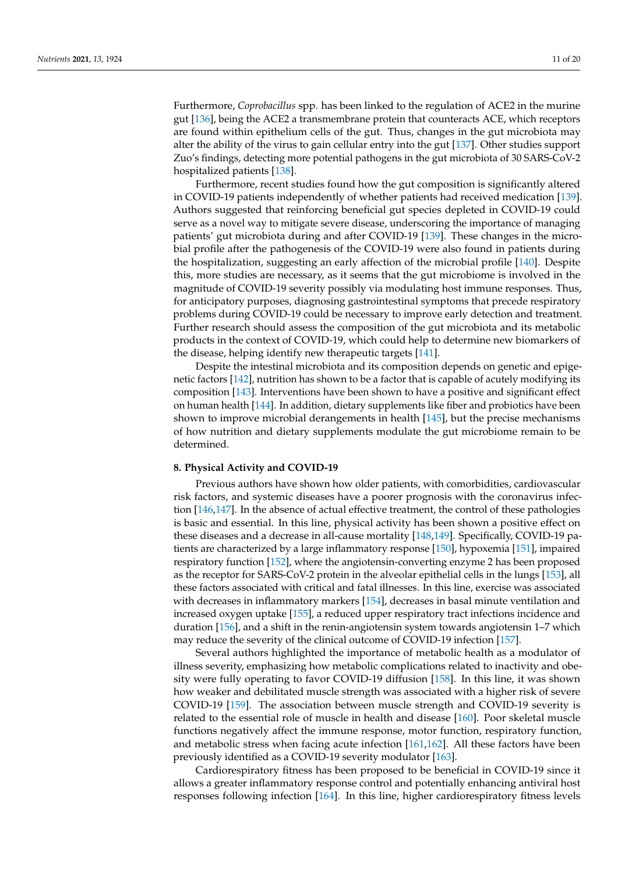Furthermore, *Coprobacillus* spp. has been linked to the regulation of ACE2 in the murine gut [\[136\]](#page-18-0), being the ACE2 a transmembrane protein that counteracts ACE, which receptors are found within epithelium cells of the gut. Thus, changes in the gut microbiota may alter the ability of the virus to gain cellular entry into the gut [\[137\]](#page-18-1). Other studies support Zuo's findings, detecting more potential pathogens in the gut microbiota of 30 SARS-CoV-2 hospitalized patients [\[138\]](#page-18-2).

Furthermore, recent studies found how the gut composition is significantly altered in COVID-19 patients independently of whether patients had received medication [\[139\]](#page-18-3). Authors suggested that reinforcing beneficial gut species depleted in COVID-19 could serve as a novel way to mitigate severe disease, underscoring the importance of managing patients' gut microbiota during and after COVID-19 [\[139\]](#page-18-3). These changes in the microbial profile after the pathogenesis of the COVID-19 were also found in patients during the hospitalization, suggesting an early affection of the microbial profile [\[140\]](#page-18-4). Despite this, more studies are necessary, as it seems that the gut microbiome is involved in the magnitude of COVID-19 severity possibly via modulating host immune responses. Thus, for anticipatory purposes, diagnosing gastrointestinal symptoms that precede respiratory problems during COVID-19 could be necessary to improve early detection and treatment. Further research should assess the composition of the gut microbiota and its metabolic products in the context of COVID-19, which could help to determine new biomarkers of the disease, helping identify new therapeutic targets [\[141\]](#page-18-5).

Despite the intestinal microbiota and its composition depends on genetic and epigenetic factors [\[142\]](#page-18-6), nutrition has shown to be a factor that is capable of acutely modifying its composition [\[143\]](#page-18-7). Interventions have been shown to have a positive and significant effect on human health [\[144\]](#page-18-8). In addition, dietary supplements like fiber and probiotics have been shown to improve microbial derangements in health [\[145\]](#page-18-9), but the precise mechanisms of how nutrition and dietary supplements modulate the gut microbiome remain to be determined.

## **8. Physical Activity and COVID-19**

Previous authors have shown how older patients, with comorbidities, cardiovascular risk factors, and systemic diseases have a poorer prognosis with the coronavirus infection [\[146,](#page-18-10)[147\]](#page-18-11). In the absence of actual effective treatment, the control of these pathologies is basic and essential. In this line, physical activity has been shown a positive effect on these diseases and a decrease in all-cause mortality [\[148,](#page-18-12)[149\]](#page-18-13). Specifically, COVID-19 patients are characterized by a large inflammatory response [\[150\]](#page-18-14), hypoxemia [\[151\]](#page-18-15), impaired respiratory function [\[152\]](#page-18-16), where the angiotensin-converting enzyme 2 has been proposed as the receptor for SARS-CoV-2 protein in the alveolar epithelial cells in the lungs [\[153\]](#page-18-17), all these factors associated with critical and fatal illnesses. In this line, exercise was associated with decreases in inflammatory markers [\[154\]](#page-18-18), decreases in basal minute ventilation and increased oxygen uptake [\[155\]](#page-18-19), a reduced upper respiratory tract infections incidence and duration [\[156\]](#page-18-20), and a shift in the renin-angiotensin system towards angiotensin 1–7 which may reduce the severity of the clinical outcome of COVID-19 infection [\[157\]](#page-18-21).

Several authors highlighted the importance of metabolic health as a modulator of illness severity, emphasizing how metabolic complications related to inactivity and obesity were fully operating to favor COVID-19 diffusion [\[158\]](#page-18-22). In this line, it was shown how weaker and debilitated muscle strength was associated with a higher risk of severe COVID-19 [\[159\]](#page-18-23). The association between muscle strength and COVID-19 severity is related to the essential role of muscle in health and disease [\[160\]](#page-18-24). Poor skeletal muscle functions negatively affect the immune response, motor function, respiratory function, and metabolic stress when facing acute infection [\[161](#page-18-25)[,162\]](#page-18-26). All these factors have been previously identified as a COVID-19 severity modulator [\[163\]](#page-19-0).

Cardiorespiratory fitness has been proposed to be beneficial in COVID-19 since it allows a greater inflammatory response control and potentially enhancing antiviral host responses following infection [\[164\]](#page-19-1). In this line, higher cardiorespiratory fitness levels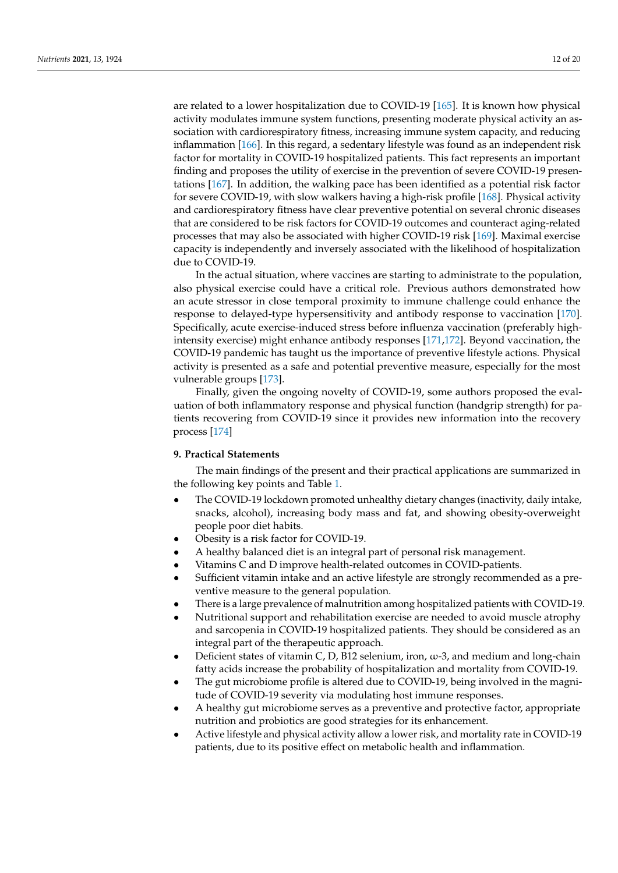are related to a lower hospitalization due to COVID-19 [\[165\]](#page-19-2). It is known how physical activity modulates immune system functions, presenting moderate physical activity an association with cardiorespiratory fitness, increasing immune system capacity, and reducing inflammation [\[166\]](#page-19-3). In this regard, a sedentary lifestyle was found as an independent risk factor for mortality in COVID-19 hospitalized patients. This fact represents an important finding and proposes the utility of exercise in the prevention of severe COVID-19 presentations [\[167\]](#page-19-4). In addition, the walking pace has been identified as a potential risk factor for severe COVID-19, with slow walkers having a high-risk profile [\[168\]](#page-19-5). Physical activity and cardiorespiratory fitness have clear preventive potential on several chronic diseases that are considered to be risk factors for COVID-19 outcomes and counteract aging-related processes that may also be associated with higher COVID-19 risk [\[169\]](#page-19-6). Maximal exercise capacity is independently and inversely associated with the likelihood of hospitalization due to COVID-19.

In the actual situation, where vaccines are starting to administrate to the population, also physical exercise could have a critical role. Previous authors demonstrated how an acute stressor in close temporal proximity to immune challenge could enhance the response to delayed-type hypersensitivity and antibody response to vaccination [\[170\]](#page-19-7). Specifically, acute exercise-induced stress before influenza vaccination (preferably highintensity exercise) might enhance antibody responses [\[171,](#page-19-8)[172\]](#page-19-9). Beyond vaccination, the COVID-19 pandemic has taught us the importance of preventive lifestyle actions. Physical activity is presented as a safe and potential preventive measure, especially for the most vulnerable groups [\[173\]](#page-19-10).

Finally, given the ongoing novelty of COVID-19, some authors proposed the evaluation of both inflammatory response and physical function (handgrip strength) for patients recovering from COVID-19 since it provides new information into the recovery process [\[174\]](#page-19-11)

# **9. Practical Statements**

The main findings of the present and their practical applications are summarized in the following key points and Table [1.](#page-12-0)

- The COVID-19 lockdown promoted unhealthy dietary changes (inactivity, daily intake, snacks, alcohol), increasing body mass and fat, and showing obesity-overweight people poor diet habits.
- Obesity is a risk factor for COVID-19.
- A healthy balanced diet is an integral part of personal risk management.
- Vitamins C and D improve health-related outcomes in COVID-patients.
- Sufficient vitamin intake and an active lifestyle are strongly recommended as a preventive measure to the general population.
- There is a large prevalence of malnutrition among hospitalized patients with COVID-19.
- Nutritional support and rehabilitation exercise are needed to avoid muscle atrophy and sarcopenia in COVID-19 hospitalized patients. They should be considered as an integral part of the therapeutic approach.
- Deficient states of vitamin C, D, B12 selenium, iron,  $\omega$ -3, and medium and long-chain fatty acids increase the probability of hospitalization and mortality from COVID-19.
- The gut microbiome profile is altered due to COVID-19, being involved in the magnitude of COVID-19 severity via modulating host immune responses.
- A healthy gut microbiome serves as a preventive and protective factor, appropriate nutrition and probiotics are good strategies for its enhancement.
- Active lifestyle and physical activity allow a lower risk, and mortality rate in COVID-19 patients, due to its positive effect on metabolic health and inflammation.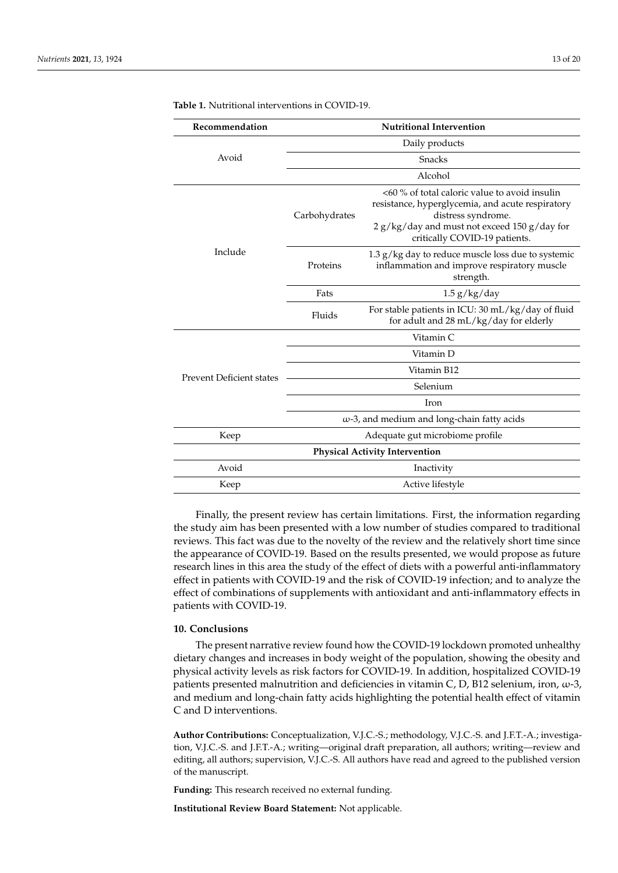| Recommendation                        | <b>Nutritional Intervention</b>                    |                                                                                                                                                                                                          |
|---------------------------------------|----------------------------------------------------|----------------------------------------------------------------------------------------------------------------------------------------------------------------------------------------------------------|
| Avoid                                 | Daily products                                     |                                                                                                                                                                                                          |
|                                       | <b>Snacks</b>                                      |                                                                                                                                                                                                          |
|                                       | Alcohol                                            |                                                                                                                                                                                                          |
| Include                               | Carbohydrates                                      | <60 % of total caloric value to avoid insulin<br>resistance, hyperglycemia, and acute respiratory<br>distress syndrome.<br>2 g/kg/day and must not exceed 150 g/day for<br>critically COVID-19 patients. |
|                                       | Proteins                                           | 1.3 g/kg day to reduce muscle loss due to systemic<br>inflammation and improve respiratory muscle<br>strength.                                                                                           |
|                                       | Fats                                               | $1.5$ g/kg/day                                                                                                                                                                                           |
|                                       | Fluids                                             | For stable patients in ICU: 30 mL/kg/day of fluid<br>for adult and 28 mL/kg/day for elderly                                                                                                              |
| <b>Prevent Deficient states</b>       | Vitamin <sub>C</sub>                               |                                                                                                                                                                                                          |
|                                       | Vitamin D                                          |                                                                                                                                                                                                          |
|                                       | Vitamin B12                                        |                                                                                                                                                                                                          |
|                                       | Selenium                                           |                                                                                                                                                                                                          |
|                                       | Iron                                               |                                                                                                                                                                                                          |
|                                       | $\omega$ -3, and medium and long-chain fatty acids |                                                                                                                                                                                                          |
| Keep                                  | Adequate gut microbiome profile                    |                                                                                                                                                                                                          |
| <b>Physical Activity Intervention</b> |                                                    |                                                                                                                                                                                                          |
| Avoid                                 | Inactivity                                         |                                                                                                                                                                                                          |
| Keep                                  | Active lifestyle                                   |                                                                                                                                                                                                          |

<span id="page-12-0"></span>**Table 1.** Nutritional interventions in COVID-19.

Finally, the present review has certain limitations. First, the information regarding the study aim has been presented with a low number of studies compared to traditional reviews. This fact was due to the novelty of the review and the relatively short time since the appearance of COVID-19. Based on the results presented, we would propose as future research lines in this area the study of the effect of diets with a powerful anti-inflammatory effect in patients with COVID-19 and the risk of COVID-19 infection; and to analyze the effect of combinations of supplements with antioxidant and anti-inflammatory effects in patients with COVID-19.

# **10. Conclusions**

The present narrative review found how the COVID-19 lockdown promoted unhealthy dietary changes and increases in body weight of the population, showing the obesity and physical activity levels as risk factors for COVID-19. In addition, hospitalized COVID-19 patients presented malnutrition and deficiencies in vitamin C, D, B12 selenium, iron,  $\omega$ -3, and medium and long-chain fatty acids highlighting the potential health effect of vitamin C and D interventions.

**Author Contributions:** Conceptualization, V.J.C.-S.; methodology, V.J.C.-S. and J.F.T.-A.; investigation, V.J.C.-S. and J.F.T.-A.; writing—original draft preparation, all authors; writing—review and editing, all authors; supervision, V.J.C.-S. All authors have read and agreed to the published version of the manuscript.

**Funding:** This research received no external funding.

**Institutional Review Board Statement:** Not applicable.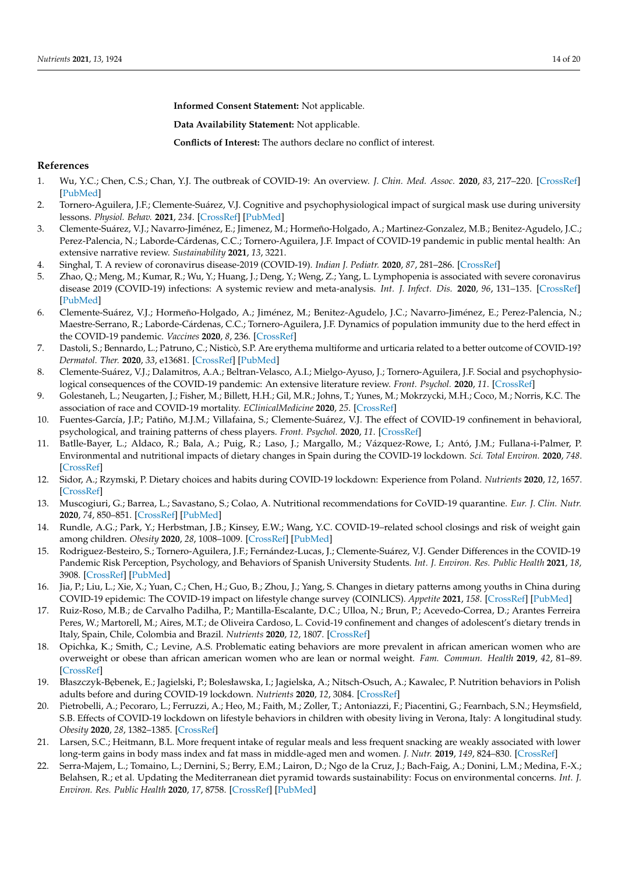**Informed Consent Statement:** Not applicable.

**Data Availability Statement:** Not applicable.

**Conflicts of Interest:** The authors declare no conflict of interest.

# **References**

- <span id="page-13-0"></span>1. Wu, Y.C.; Chen, C.S.; Chan, Y.J. The outbreak of COVID-19: An overview. *J. Chin. Med. Assoc.* **2020**, *83*, 217–220. [\[CrossRef\]](http://doi.org/10.1097/JCMA.0000000000000270) [\[PubMed\]](http://www.ncbi.nlm.nih.gov/pubmed/32134861)
- <span id="page-13-1"></span>2. Tornero-Aguilera, J.F.; Clemente-Suárez, V.J. Cognitive and psychophysiological impact of surgical mask use during university lessons. *Physiol. Behav.* **2021**, *234*. [\[CrossRef\]](http://doi.org/10.1016/j.physbeh.2021.113342) [\[PubMed\]](http://www.ncbi.nlm.nih.gov/pubmed/33516744)
- <span id="page-13-2"></span>3. Clemente-Suárez, V.J.; Navarro-Jiménez, E.; Jimenez, M.; Hormeño-Holgado, A.; Martinez-Gonzalez, M.B.; Benitez-Agudelo, J.C.; Perez-Palencia, N.; Laborde-Cárdenas, C.C.; Tornero-Aguilera, J.F. Impact of COVID-19 pandemic in public mental health: An extensive narrative review. *Sustainability* **2021**, *13*, 3221.
- <span id="page-13-3"></span>4. Singhal, T. A review of coronavirus disease-2019 (COVID-19). *Indian J. Pediatr.* **2020**, *87*, 281–286. [\[CrossRef\]](http://doi.org/10.1007/s12098-020-03263-6)
- <span id="page-13-4"></span>5. Zhao, Q.; Meng, M.; Kumar, R.; Wu, Y.; Huang, J.; Deng, Y.; Weng, Z.; Yang, L. Lymphopenia is associated with severe coronavirus disease 2019 (COVID-19) infections: A systemic review and meta-analysis. *Int. J. Infect. Dis.* **2020**, *96*, 131–135. [\[CrossRef\]](http://doi.org/10.1016/j.ijid.2020.04.086) [\[PubMed\]](http://www.ncbi.nlm.nih.gov/pubmed/32376308)
- <span id="page-13-5"></span>6. Clemente-Suárez, V.J.; Hormeño-Holgado, A.; Jiménez, M.; Benitez-Agudelo, J.C.; Navarro-Jiménez, E.; Perez-Palencia, N.; Maestre-Serrano, R.; Laborde-Cárdenas, C.C.; Tornero-Aguilera, J.F. Dynamics of population immunity due to the herd effect in the COVID-19 pandemic. *Vaccines* **2020**, *8*, 236. [\[CrossRef\]](http://doi.org/10.3390/vaccines8020236)
- <span id="page-13-6"></span>7. Dastoli, S.; Bennardo, L.; Patruno, C.; Nisticò, S.P. Are erythema multiforme and urticaria related to a better outcome of COVID-19? *Dermatol. Ther.* **2020**, *33*, e13681. [\[CrossRef\]](http://doi.org/10.1111/dth.13681) [\[PubMed\]](http://www.ncbi.nlm.nih.gov/pubmed/32447798)
- 8. Clemente-Suárez, V.J.; Dalamitros, A.A.; Beltran-Velasco, A.I.; Mielgo-Ayuso, J.; Tornero-Aguilera, J.F. Social and psychophysiological consequences of the COVID-19 pandemic: An extensive literature review. *Front. Psychol.* **2020**, *11*. [\[CrossRef\]](http://doi.org/10.3389/fpsyg.2020.580225)
- 9. Golestaneh, L.; Neugarten, J.; Fisher, M.; Billett, H.H.; Gil, M.R.; Johns, T.; Yunes, M.; Mokrzycki, M.H.; Coco, M.; Norris, K.C. The association of race and COVID-19 mortality. *EClinicalMedicine* **2020**, *25*. [\[CrossRef\]](http://doi.org/10.1016/j.eclinm.2020.100455)
- <span id="page-13-7"></span>10. Fuentes-García, J.P.; Patiño, M.J.M.; Villafaina, S.; Clemente-Suárez, V.J. The effect of COVID-19 confinement in behavioral, psychological, and training patterns of chess players. *Front. Psychol.* **2020**, *11*. [\[CrossRef\]](http://doi.org/10.3389/fpsyg.2020.01812)
- <span id="page-13-8"></span>11. Batlle-Bayer, L.; Aldaco, R.; Bala, A.; Puig, R.; Laso, J.; Margallo, M.; Vázquez-Rowe, I.; Antó, J.M.; Fullana-i-Palmer, P. Environmental and nutritional impacts of dietary changes in Spain during the COVID-19 lockdown. *Sci. Total Environ.* **2020**, *748*. [\[CrossRef\]](http://doi.org/10.1016/j.scitotenv.2020.141410)
- <span id="page-13-9"></span>12. Sidor, A.; Rzymski, P. Dietary choices and habits during COVID-19 lockdown: Experience from Poland. *Nutrients* **2020**, *12*, 1657. [\[CrossRef\]](http://doi.org/10.3390/nu12061657)
- <span id="page-13-10"></span>13. Muscogiuri, G.; Barrea, L.; Savastano, S.; Colao, A. Nutritional recommendations for CoVID-19 quarantine. *Eur. J. Clin. Nutr.* **2020**, *74*, 850–851. [\[CrossRef\]](http://doi.org/10.1038/s41430-020-0635-2) [\[PubMed\]](http://www.ncbi.nlm.nih.gov/pubmed/32286533)
- <span id="page-13-11"></span>14. Rundle, A.G.; Park, Y.; Herbstman, J.B.; Kinsey, E.W.; Wang, Y.C. COVID-19–related school closings and risk of weight gain among children. *Obesity* **2020**, *28*, 1008–1009. [\[CrossRef\]](http://doi.org/10.1002/oby.22813) [\[PubMed\]](http://www.ncbi.nlm.nih.gov/pubmed/32227671)
- <span id="page-13-12"></span>15. Rodriguez-Besteiro, S.; Tornero-Aguilera, J.F.; Fernández-Lucas, J.; Clemente-Suárez, V.J. Gender Differences in the COVID-19 Pandemic Risk Perception, Psychology, and Behaviors of Spanish University Students. *Int. J. Environ. Res. Public Health* **2021**, *18*, 3908. [\[CrossRef\]](http://doi.org/10.3390/ijerph18083908) [\[PubMed\]](http://www.ncbi.nlm.nih.gov/pubmed/33917827)
- <span id="page-13-13"></span>16. Jia, P.; Liu, L.; Xie, X.; Yuan, C.; Chen, H.; Guo, B.; Zhou, J.; Yang, S. Changes in dietary patterns among youths in China during COVID-19 epidemic: The COVID-19 impact on lifestyle change survey (COINLICS). *Appetite* **2021**, *158*. [\[CrossRef\]](http://doi.org/10.1016/j.appet.2020.105015) [\[PubMed\]](http://www.ncbi.nlm.nih.gov/pubmed/33121998)
- <span id="page-13-14"></span>17. Ruiz-Roso, M.B.; de Carvalho Padilha, P.; Mantilla-Escalante, D.C.; Ulloa, N.; Brun, P.; Acevedo-Correa, D.; Arantes Ferreira Peres, W.; Martorell, M.; Aires, M.T.; de Oliveira Cardoso, L. Covid-19 confinement and changes of adolescent's dietary trends in Italy, Spain, Chile, Colombia and Brazil. *Nutrients* **2020**, *12*, 1807. [\[CrossRef\]](http://doi.org/10.3390/nu12061807)
- <span id="page-13-15"></span>18. Opichka, K.; Smith, C.; Levine, A.S. Problematic eating behaviors are more prevalent in african american women who are overweight or obese than african american women who are lean or normal weight. *Fam. Commun. Health* **2019**, *42*, 81–89. [\[CrossRef\]](http://doi.org/10.1097/FCH.0000000000000222)
- <span id="page-13-16"></span>19. Błaszczyk-Bębenek, E.; Jagielski, P.; Bolesławska, I.; Jagielska, A.; Nitsch-Osuch, A.; Kawalec, P. Nutrition behaviors in Polish adults before and during COVID-19 lockdown. *Nutrients* **2020**, *12*, 3084. [\[CrossRef\]](http://doi.org/10.3390/nu12103084)
- <span id="page-13-17"></span>20. Pietrobelli, A.; Pecoraro, L.; Ferruzzi, A.; Heo, M.; Faith, M.; Zoller, T.; Antoniazzi, F.; Piacentini, G.; Fearnbach, S.N.; Heymsfield, S.B. Effects of COVID-19 lockdown on lifestyle behaviors in children with obesity living in Verona, Italy: A longitudinal study. *Obesity* **2020**, *28*, 1382–1385. [\[CrossRef\]](http://doi.org/10.1002/oby.22861)
- <span id="page-13-18"></span>21. Larsen, S.C.; Heitmann, B.L. More frequent intake of regular meals and less frequent snacking are weakly associated with lower long-term gains in body mass index and fat mass in middle-aged men and women. *J. Nutr.* **2019**, *149*, 824–830. [\[CrossRef\]](http://doi.org/10.1093/jn/nxy326)
- <span id="page-13-19"></span>22. Serra-Majem, L.; Tomaino, L.; Dernini, S.; Berry, E.M.; Lairon, D.; Ngo de la Cruz, J.; Bach-Faig, A.; Donini, L.M.; Medina, F.-X.; Belahsen, R.; et al. Updating the Mediterranean diet pyramid towards sustainability: Focus on environmental concerns. *Int. J. Environ. Res. Public Health* **2020**, *17*, 8758. [\[CrossRef\]](http://doi.org/10.3390/ijerph17238758) [\[PubMed\]](http://www.ncbi.nlm.nih.gov/pubmed/33255721)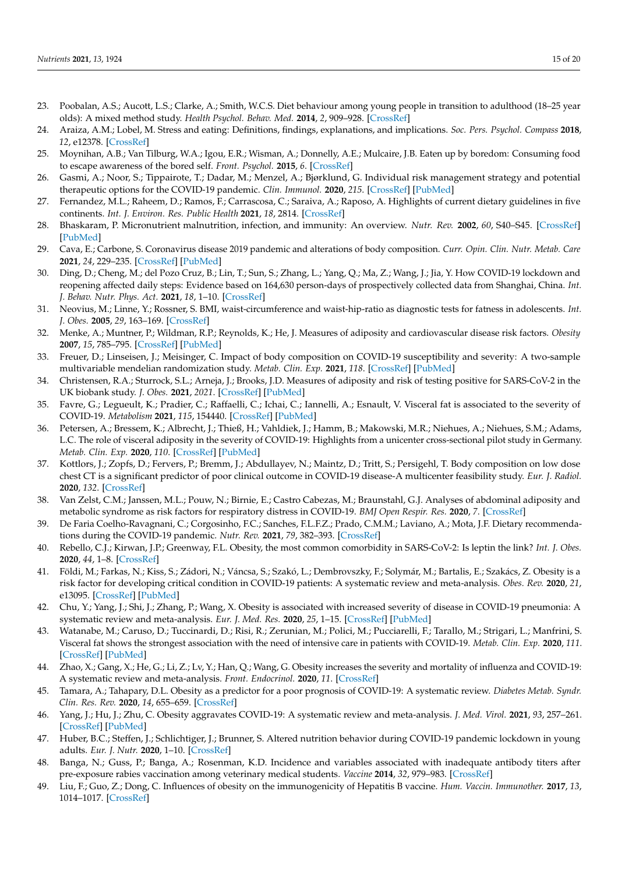- <span id="page-14-0"></span>23. Poobalan, A.S.; Aucott, L.S.; Clarke, A.; Smith, W.C.S. Diet behaviour among young people in transition to adulthood (18–25 year olds): A mixed method study. *Health Psychol. Behav. Med.* **2014**, *2*, 909–928. [\[CrossRef\]](http://doi.org/10.1080/21642850.2014.931232)
- <span id="page-14-1"></span>24. Araiza, A.M.; Lobel, M. Stress and eating: Definitions, findings, explanations, and implications. *Soc. Pers. Psychol. Compass* **2018**, *12*, e12378. [\[CrossRef\]](http://doi.org/10.1111/spc3.12378)
- <span id="page-14-2"></span>25. Moynihan, A.B.; Van Tilburg, W.A.; Igou, E.R.; Wisman, A.; Donnelly, A.E.; Mulcaire, J.B. Eaten up by boredom: Consuming food to escape awareness of the bored self. *Front. Psychol.* **2015**, *6*. [\[CrossRef\]](http://doi.org/10.3389/fpsyg.2015.00369)
- <span id="page-14-3"></span>26. Gasmi, A.; Noor, S.; Tippairote, T.; Dadar, M.; Menzel, A.; Bjørklund, G. Individual risk management strategy and potential therapeutic options for the COVID-19 pandemic. *Clin. Immunol.* **2020**, *215*. [\[CrossRef\]](http://doi.org/10.1016/j.clim.2020.108409) [\[PubMed\]](http://www.ncbi.nlm.nih.gov/pubmed/32276137)
- <span id="page-14-4"></span>27. Fernandez, M.L.; Raheem, D.; Ramos, F.; Carrascosa, C.; Saraiva, A.; Raposo, A. Highlights of current dietary guidelines in five continents. *Int. J. Environ. Res. Public Health* **2021**, *18*, 2814. [\[CrossRef\]](http://doi.org/10.3390/ijerph18062814)
- <span id="page-14-5"></span>28. Bhaskaram, P. Micronutrient malnutrition, infection, and immunity: An overview. *Nutr. Rev.* **2002**, *60*, S40–S45. [\[CrossRef\]](http://doi.org/10.1301/00296640260130722) [\[PubMed\]](http://www.ncbi.nlm.nih.gov/pubmed/12035857)
- <span id="page-14-6"></span>29. Cava, E.; Carbone, S. Coronavirus disease 2019 pandemic and alterations of body composition. *Curr. Opin. Clin. Nutr. Metab. Care* **2021**, *24*, 229–235. [\[CrossRef\]](http://doi.org/10.1097/MCO.0000000000000740) [\[PubMed\]](http://www.ncbi.nlm.nih.gov/pubmed/33587365)
- <span id="page-14-7"></span>30. Ding, D.; Cheng, M.; del Pozo Cruz, B.; Lin, T.; Sun, S.; Zhang, L.; Yang, Q.; Ma, Z.; Wang, J.; Jia, Y. How COVID-19 lockdown and reopening affected daily steps: Evidence based on 164,630 person-days of prospectively collected data from Shanghai, China. *Int. J. Behav. Nutr. Phys. Act.* **2021**, *18*, 1–10. [\[CrossRef\]](http://doi.org/10.1186/s12966-021-01106-x)
- <span id="page-14-8"></span>31. Neovius, M.; Linne, Y.; Rossner, S. BMI, waist-circumference and waist-hip-ratio as diagnostic tests for fatness in adolescents. *Int. J. Obes.* **2005**, *29*, 163–169. [\[CrossRef\]](http://doi.org/10.1038/sj.ijo.0802867)
- <span id="page-14-9"></span>32. Menke, A.; Muntner, P.; Wildman, R.P.; Reynolds, K.; He, J. Measures of adiposity and cardiovascular disease risk factors. *Obesity* **2007**, *15*, 785–795. [\[CrossRef\]](http://doi.org/10.1038/oby.2007.593) [\[PubMed\]](http://www.ncbi.nlm.nih.gov/pubmed/17372330)
- <span id="page-14-10"></span>33. Freuer, D.; Linseisen, J.; Meisinger, C. Impact of body composition on COVID-19 susceptibility and severity: A two-sample multivariable mendelian randomization study. *Metab. Clin. Exp.* **2021**, *118*. [\[CrossRef\]](http://doi.org/10.1016/j.metabol.2021.154732) [\[PubMed\]](http://www.ncbi.nlm.nih.gov/pubmed/33631142)
- <span id="page-14-11"></span>34. Christensen, R.A.; Sturrock, S.L.; Arneja, J.; Brooks, J.D. Measures of adiposity and risk of testing positive for SARS-CoV-2 in the UK biobank study. *J. Obes.* **2021**, *2021*. [\[CrossRef\]](http://doi.org/10.1155/2021/8837319) [\[PubMed\]](http://www.ncbi.nlm.nih.gov/pubmed/33542836)
- <span id="page-14-12"></span>35. Favre, G.; Legueult, K.; Pradier, C.; Raffaelli, C.; Ichai, C.; Iannelli, A.; Esnault, V. Visceral fat is associated to the severity of COVID-19. *Metabolism* **2021**, *115*, 154440. [\[CrossRef\]](http://doi.org/10.1016/j.metabol.2020.154440) [\[PubMed\]](http://www.ncbi.nlm.nih.gov/pubmed/33246009)
- <span id="page-14-13"></span>36. Petersen, A.; Bressem, K.; Albrecht, J.; Thieß, H.; Vahldiek, J.; Hamm, B.; Makowski, M.R.; Niehues, A.; Niehues, S.M.; Adams, L.C. The role of visceral adiposity in the severity of COVID-19: Highlights from a unicenter cross-sectional pilot study in Germany. *Metab. Clin. Exp.* **2020**, *110*. [\[CrossRef\]](http://doi.org/10.1016/j.metabol.2020.154317) [\[PubMed\]](http://www.ncbi.nlm.nih.gov/pubmed/32673651)
- <span id="page-14-14"></span>37. Kottlors, J.; Zopfs, D.; Fervers, P.; Bremm, J.; Abdullayev, N.; Maintz, D.; Tritt, S.; Persigehl, T. Body composition on low dose chest CT is a significant predictor of poor clinical outcome in COVID-19 disease-A multicenter feasibility study. *Eur. J. Radiol.* **2020**, *132*. [\[CrossRef\]](http://doi.org/10.1016/j.ejrad.2020.109274)
- <span id="page-14-15"></span>38. Van Zelst, C.M.; Janssen, M.L.; Pouw, N.; Birnie, E.; Castro Cabezas, M.; Braunstahl, G.J. Analyses of abdominal adiposity and metabolic syndrome as risk factors for respiratory distress in COVID-19. *BMJ Open Respir. Res.* **2020**, *7*. [\[CrossRef\]](http://doi.org/10.1136/bmjresp-2020-000792)
- <span id="page-14-16"></span>39. De Faria Coelho-Ravagnani, C.; Corgosinho, F.C.; Sanches, F.L.F.Z.; Prado, C.M.M.; Laviano, A.; Mota, J.F. Dietary recommendations during the COVID-19 pandemic. *Nutr. Rev.* **2021**, *79*, 382–393. [\[CrossRef\]](http://doi.org/10.1093/nutrit/nuaa067)
- <span id="page-14-17"></span>40. Rebello, C.J.; Kirwan, J.P.; Greenway, F.L. Obesity, the most common comorbidity in SARS-CoV-2: Is leptin the link? *Int. J. Obes.* **2020**, *44*, 1–8. [\[CrossRef\]](http://doi.org/10.1038/s41366-020-0640-5)
- <span id="page-14-18"></span>41. Földi, M.; Farkas, N.; Kiss, S.; Zádori, N.; Váncsa, S.; Szakó, L.; Dembrovszky, F.; Solymár, M.; Bartalis, E.; Szakács, Z. Obesity is a risk factor for developing critical condition in COVID-19 patients: A systematic review and meta-analysis. *Obes. Rev.* **2020**, *21*, e13095. [\[CrossRef\]](http://doi.org/10.1111/obr.13095) [\[PubMed\]](http://www.ncbi.nlm.nih.gov/pubmed/32686331)
- <span id="page-14-19"></span>42. Chu, Y.; Yang, J.; Shi, J.; Zhang, P.; Wang, X. Obesity is associated with increased severity of disease in COVID-19 pneumonia: A systematic review and meta-analysis. *Eur. J. Med. Res.* **2020**, *25*, 1–15. [\[CrossRef\]](http://doi.org/10.1186/s40001-020-00464-9) [\[PubMed\]](http://www.ncbi.nlm.nih.gov/pubmed/33267871)
- <span id="page-14-20"></span>43. Watanabe, M.; Caruso, D.; Tuccinardi, D.; Risi, R.; Zerunian, M.; Polici, M.; Pucciarelli, F.; Tarallo, M.; Strigari, L.; Manfrini, S. Visceral fat shows the strongest association with the need of intensive care in patients with COVID-19. *Metab. Clin. Exp.* **2020**, *111*. [\[CrossRef\]](http://doi.org/10.1016/j.metabol.2020.154319) [\[PubMed\]](http://www.ncbi.nlm.nih.gov/pubmed/32712222)
- <span id="page-14-21"></span>44. Zhao, X.; Gang, X.; He, G.; Li, Z.; Lv, Y.; Han, Q.; Wang, G. Obesity increases the severity and mortality of influenza and COVID-19: A systematic review and meta-analysis. *Front. Endocrinol.* **2020**, *11*. [\[CrossRef\]](http://doi.org/10.3389/fendo.2020.595109)
- <span id="page-14-22"></span>45. Tamara, A.; Tahapary, D.L. Obesity as a predictor for a poor prognosis of COVID-19: A systematic review. *Diabetes Metab. Syndr. Clin. Res. Rev.* **2020**, *14*, 655–659. [\[CrossRef\]](http://doi.org/10.1016/j.dsx.2020.05.020)
- <span id="page-14-23"></span>46. Yang, J.; Hu, J.; Zhu, C. Obesity aggravates COVID-19: A systematic review and meta-analysis. *J. Med. Virol.* **2021**, *93*, 257–261. [\[CrossRef\]](http://doi.org/10.1002/jmv.26237) [\[PubMed\]](http://www.ncbi.nlm.nih.gov/pubmed/32603481)
- <span id="page-14-24"></span>47. Huber, B.C.; Steffen, J.; Schlichtiger, J.; Brunner, S. Altered nutrition behavior during COVID-19 pandemic lockdown in young adults. *Eur. J. Nutr.* **2020**, 1–10. [\[CrossRef\]](http://doi.org/10.1007/s00394-020-02435-6)
- <span id="page-14-25"></span>48. Banga, N.; Guss, P.; Banga, A.; Rosenman, K.D. Incidence and variables associated with inadequate antibody titers after pre-exposure rabies vaccination among veterinary medical students. *Vaccine* **2014**, *32*, 979–983. [\[CrossRef\]](http://doi.org/10.1016/j.vaccine.2013.12.019)
- 49. Liu, F.; Guo, Z.; Dong, C. Influences of obesity on the immunogenicity of Hepatitis B vaccine. *Hum. Vaccin. Immunother.* **2017**, *13*, 1014–1017. [\[CrossRef\]](http://doi.org/10.1080/21645515.2016.1274475)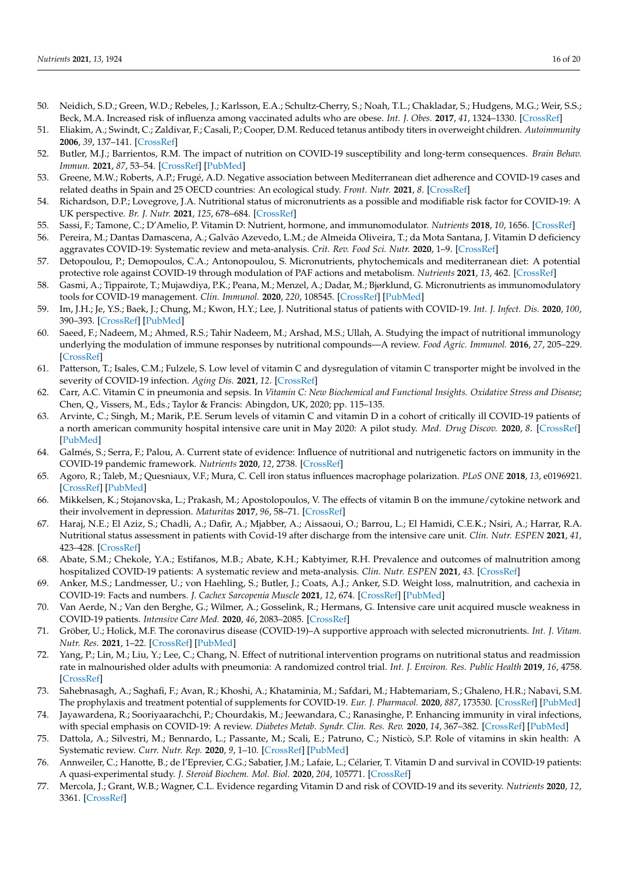- 50. Neidich, S.D.; Green, W.D.; Rebeles, J.; Karlsson, E.A.; Schultz-Cherry, S.; Noah, T.L.; Chakladar, S.; Hudgens, M.G.; Weir, S.S.; Beck, M.A. Increased risk of influenza among vaccinated adults who are obese. *Int. J. Obes.* **2017**, *41*, 1324–1330. [\[CrossRef\]](http://doi.org/10.1038/ijo.2017.131)
- <span id="page-15-0"></span>51. Eliakim, A.; Swindt, C.; Zaldivar, F.; Casali, P.; Cooper, D.M. Reduced tetanus antibody titers in overweight children. *Autoimmunity* **2006**, *39*, 137–141. [\[CrossRef\]](http://doi.org/10.1080/08916930600597326)
- <span id="page-15-1"></span>52. Butler, M.J.; Barrientos, R.M. The impact of nutrition on COVID-19 susceptibility and long-term consequences. *Brain Behav. Immun.* **2021**, *87*, 53–54. [\[CrossRef\]](http://doi.org/10.1016/j.bbi.2020.04.040) [\[PubMed\]](http://www.ncbi.nlm.nih.gov/pubmed/32311498)
- <span id="page-15-2"></span>53. Greene, M.W.; Roberts, A.P.; Frugé, A.D. Negative association between Mediterranean diet adherence and COVID-19 cases and related deaths in Spain and 25 OECD countries: An ecological study. *Front. Nutr.* **2021**, *8*. [\[CrossRef\]](http://doi.org/10.3389/fnut.2021.591964)
- <span id="page-15-3"></span>54. Richardson, D.P.; Lovegrove, J.A. Nutritional status of micronutrients as a possible and modifiable risk factor for COVID-19: A UK perspective. *Br. J. Nutr.* **2021**, *125*, 678–684. [\[CrossRef\]](http://doi.org/10.1017/S000711452000330X)
- <span id="page-15-4"></span>55. Sassi, F.; Tamone, C.; D'Amelio, P. Vitamin D: Nutrient, hormone, and immunomodulator. *Nutrients* **2018**, *10*, 1656. [\[CrossRef\]](http://doi.org/10.3390/nu10111656)
- <span id="page-15-5"></span>56. Pereira, M.; Dantas Damascena, A.; Galvão Azevedo, L.M.; de Almeida Oliveira, T.; da Mota Santana, J. Vitamin D deficiency aggravates COVID-19: Systematic review and meta-analysis. *Crit. Rev. Food Sci. Nutr.* **2020**, 1–9. [\[CrossRef\]](http://doi.org/10.1080/10408398.2020.1841090)
- <span id="page-15-6"></span>57. Detopoulou, P.; Demopoulos, C.A.; Antonopoulou, S. Micronutrients, phytochemicals and mediterranean diet: A potential protective role against COVID-19 through modulation of PAF actions and metabolism. *Nutrients* **2021**, *13*, 462. [\[CrossRef\]](http://doi.org/10.3390/nu13020462)
- <span id="page-15-7"></span>58. Gasmi, A.; Tippairote, T.; Mujawdiya, P.K.; Peana, M.; Menzel, A.; Dadar, M.; Bjørklund, G. Micronutrients as immunomodulatory tools for COVID-19 management. *Clin. Immunol.* **2020**, *220*, 108545. [\[CrossRef\]](http://doi.org/10.1016/j.clim.2020.108545) [\[PubMed\]](http://www.ncbi.nlm.nih.gov/pubmed/32710937)
- <span id="page-15-8"></span>59. Im, J.H.; Je, Y.S.; Baek, J.; Chung, M.; Kwon, H.Y.; Lee, J. Nutritional status of patients with COVID-19. *Int. J. Infect. Dis.* **2020**, *100*, 390–393. [\[CrossRef\]](http://doi.org/10.1016/j.ijid.2020.08.018) [\[PubMed\]](http://www.ncbi.nlm.nih.gov/pubmed/32795605)
- <span id="page-15-9"></span>60. Saeed, F.; Nadeem, M.; Ahmed, R.S.; Tahir Nadeem, M.; Arshad, M.S.; Ullah, A. Studying the impact of nutritional immunology underlying the modulation of immune responses by nutritional compounds—A review. *Food Agric. Immunol.* **2016**, *27*, 205–229. [\[CrossRef\]](http://doi.org/10.1080/09540105.2015.1079600)
- <span id="page-15-10"></span>61. Patterson, T.; Isales, C.M.; Fulzele, S. Low level of vitamin C and dysregulation of vitamin C transporter might be involved in the severity of COVID-19 infection. *Aging Dis.* **2021**, *12*. [\[CrossRef\]](http://doi.org/10.14336/AD.2020.0918)
- <span id="page-15-11"></span>62. Carr, A.C. Vitamin C in pneumonia and sepsis. In *Vitamin C: New Biochemical and Functional Insights. Oxidative Stress and Disease*; Chen, Q., Vissers, M., Eds.; Taylor & Francis: Abingdon, UK, 2020; pp. 115–135.
- <span id="page-15-12"></span>63. Arvinte, C.; Singh, M.; Marik, P.E. Serum levels of vitamin C and vitamin D in a cohort of critically ill COVID-19 patients of a north american community hospital intensive care unit in May 2020: A pilot study. *Med. Drug Discov.* **2020**, *8*. [\[CrossRef\]](http://doi.org/10.1016/j.medidd.2020.100064) [\[PubMed\]](http://www.ncbi.nlm.nih.gov/pubmed/32964205)
- <span id="page-15-13"></span>64. Galmés, S.; Serra, F.; Palou, A. Current state of evidence: Influence of nutritional and nutrigenetic factors on immunity in the COVID-19 pandemic framework. *Nutrients* **2020**, *12*, 2738. [\[CrossRef\]](http://doi.org/10.3390/nu12092738)
- <span id="page-15-14"></span>65. Agoro, R.; Taleb, M.; Quesniaux, V.F.; Mura, C. Cell iron status influences macrophage polarization. *PLoS ONE* **2018**, *13*, e0196921. [\[CrossRef\]](http://doi.org/10.1371/journal.pone.0196921) [\[PubMed\]](http://www.ncbi.nlm.nih.gov/pubmed/29771935)
- <span id="page-15-15"></span>66. Mikkelsen, K.; Stojanovska, L.; Prakash, M.; Apostolopoulos, V. The effects of vitamin B on the immune/cytokine network and their involvement in depression. *Maturitas* **2017**, *96*, 58–71. [\[CrossRef\]](http://doi.org/10.1016/j.maturitas.2016.11.012)
- <span id="page-15-16"></span>67. Haraj, N.E.; El Aziz, S.; Chadli, A.; Dafir, A.; Mjabber, A.; Aissaoui, O.; Barrou, L.; El Hamidi, C.E.K.; Nsiri, A.; Harrar, R.A. Nutritional status assessment in patients with Covid-19 after discharge from the intensive care unit. *Clin. Nutr. ESPEN* **2021**, *41*, 423–428. [\[CrossRef\]](http://doi.org/10.1016/j.clnesp.2020.09.214)
- <span id="page-15-17"></span>68. Abate, S.M.; Chekole, Y.A.; Estifanos, M.B.; Abate, K.H.; Kabtyimer, R.H. Prevalence and outcomes of malnutrition among hospitalized COVID-19 patients: A systematic review and meta-analysis. *Clin. Nutr. ESPEN* **2021**, *43*. [\[CrossRef\]](http://doi.org/10.1016/j.clnesp.2021.03.002)
- <span id="page-15-18"></span>69. Anker, M.S.; Landmesser, U.; von Haehling, S.; Butler, J.; Coats, A.J.; Anker, S.D. Weight loss, malnutrition, and cachexia in COVID-19: Facts and numbers. *J. Cachex Sarcopenia Muscle* **2021**, *12*, 674. [\[CrossRef\]](http://doi.org/10.1002/jcsm.12674) [\[PubMed\]](http://www.ncbi.nlm.nih.gov/pubmed/33382211)
- <span id="page-15-19"></span>70. Van Aerde, N.; Van den Berghe, G.; Wilmer, A.; Gosselink, R.; Hermans, G. Intensive care unit acquired muscle weakness in COVID-19 patients. *Intensive Care Med.* **2020**, *46*, 2083–2085. [\[CrossRef\]](http://doi.org/10.1007/s00134-020-06244-7)
- <span id="page-15-20"></span>71. Gröber, U.; Holick, M.F. The coronavirus disease (COVID-19)–A supportive approach with selected micronutrients. *Int. J. Vitam. Nutr. Res.* **2021**, 1–22. [\[CrossRef\]](http://doi.org/10.1024/0300-9831/a000693) [\[PubMed\]](http://www.ncbi.nlm.nih.gov/pubmed/33487035)
- <span id="page-15-21"></span>72. Yang, P.; Lin, M.; Liu, Y.; Lee, C.; Chang, N. Effect of nutritional intervention programs on nutritional status and readmission rate in malnourished older adults with pneumonia: A randomized control trial. *Int. J. Environ. Res. Public Health* **2019**, *16*, 4758. [\[CrossRef\]](http://doi.org/10.3390/ijerph16234758)
- <span id="page-15-22"></span>73. Sahebnasagh, A.; Saghafi, F.; Avan, R.; Khoshi, A.; Khataminia, M.; Safdari, M.; Habtemariam, S.; Ghaleno, H.R.; Nabavi, S.M. The prophylaxis and treatment potential of supplements for COVID-19. *Eur. J. Pharmacol.* **2020**, *887*, 173530. [\[CrossRef\]](http://doi.org/10.1016/j.ejphar.2020.173530) [\[PubMed\]](http://www.ncbi.nlm.nih.gov/pubmed/32882216)
- <span id="page-15-23"></span>74. Jayawardena, R.; Sooriyaarachchi, P.; Chourdakis, M.; Jeewandara, C.; Ranasinghe, P. Enhancing immunity in viral infections, with special emphasis on COVID-19: A review. *Diabetes Metab. Syndr. Clin. Res. Rev.* **2020**, *14*, 367–382. [\[CrossRef\]](http://doi.org/10.1016/j.dsx.2020.04.015) [\[PubMed\]](http://www.ncbi.nlm.nih.gov/pubmed/32334392)
- <span id="page-15-24"></span>75. Dattola, A.; Silvestri, M.; Bennardo, L.; Passante, M.; Scali, E.; Patruno, C.; Nisticò, S.P. Role of vitamins in skin health: A Systematic review. *Curr. Nutr. Rep.* **2020**, *9*, 1–10. [\[CrossRef\]](http://doi.org/10.1007/s13668-020-00322-4) [\[PubMed\]](http://www.ncbi.nlm.nih.gov/pubmed/32602055)
- <span id="page-15-25"></span>76. Annweiler, C.; Hanotte, B.; de l'Eprevier, C.G.; Sabatier, J.M.; Lafaie, L.; Célarier, T. Vitamin D and survival in COVID-19 patients: A quasi-experimental study. *J. Steroid Biochem. Mol. Biol.* **2020**, *204*, 105771. [\[CrossRef\]](http://doi.org/10.1016/j.jsbmb.2020.105771)
- <span id="page-15-26"></span>77. Mercola, J.; Grant, W.B.; Wagner, C.L. Evidence regarding Vitamin D and risk of COVID-19 and its severity. *Nutrients* **2020**, *12*, 3361. [\[CrossRef\]](http://doi.org/10.3390/nu12113361)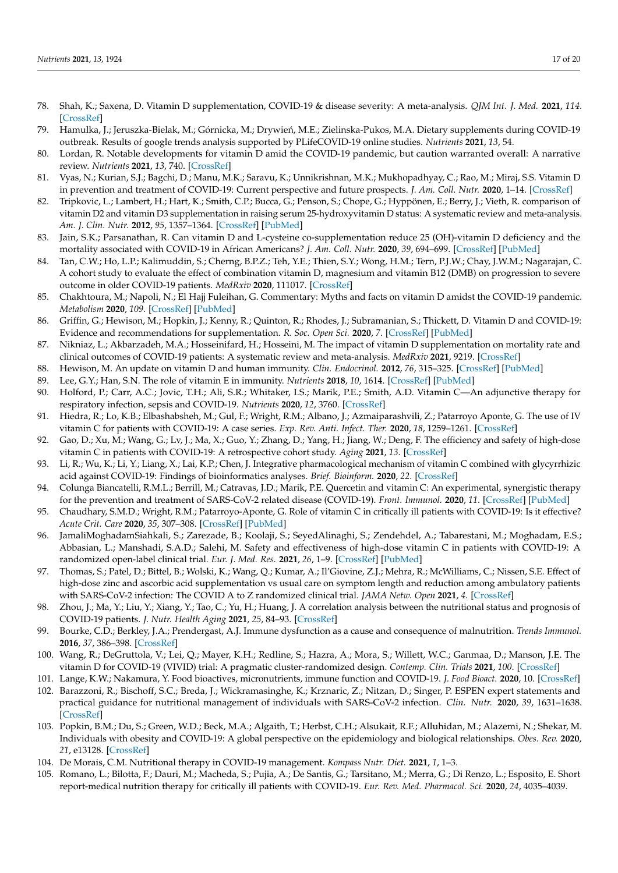- <span id="page-16-0"></span>78. Shah, K.; Saxena, D. Vitamin D supplementation, COVID-19 & disease severity: A meta-analysis. *QJM Int. J. Med.* **2021**, *114*. [\[CrossRef\]](http://doi.org/10.1093/qjmed/hcab009)
- <span id="page-16-1"></span>79. Hamulka, J.; Jeruszka-Bielak, M.; Górnicka, M.; Drywień, M.E.; Zielinska-Pukos, M.A. Dietary supplements during COVID-19 outbreak. Results of google trends analysis supported by PLifeCOVID-19 online studies. *Nutrients* **2021**, *13*, 54.
- <span id="page-16-2"></span>80. Lordan, R. Notable developments for vitamin D amid the COVID-19 pandemic, but caution warranted overall: A narrative review. *Nutrients* **2021**, *13*, 740. [\[CrossRef\]](http://doi.org/10.3390/nu13030740)
- <span id="page-16-3"></span>81. Vyas, N.; Kurian, S.J.; Bagchi, D.; Manu, M.K.; Saravu, K.; Unnikrishnan, M.K.; Mukhopadhyay, C.; Rao, M.; Miraj, S.S. Vitamin D in prevention and treatment of COVID-19: Current perspective and future prospects. *J. Am. Coll. Nutr.* **2020**, 1–14. [\[CrossRef\]](http://doi.org/10.1080/07315724.2020.1806758)
- <span id="page-16-4"></span>82. Tripkovic, L.; Lambert, H.; Hart, K.; Smith, C.P.; Bucca, G.; Penson, S.; Chope, G.; Hyppönen, E.; Berry, J.; Vieth, R. comparison of vitamin D2 and vitamin D3 supplementation in raising serum 25-hydroxyvitamin D status: A systematic review and meta-analysis. *Am. J. Clin. Nutr.* **2012**, *95*, 1357–1364. [\[CrossRef\]](http://doi.org/10.3945/ajcn.111.031070) [\[PubMed\]](http://www.ncbi.nlm.nih.gov/pubmed/22552031)
- <span id="page-16-5"></span>83. Jain, S.K.; Parsanathan, R. Can vitamin D and L-cysteine co-supplementation reduce 25 (OH)-vitamin D deficiency and the mortality associated with COVID-19 in African Americans? *J. Am. Coll. Nutr.* **2020**, *39*, 694–699. [\[CrossRef\]](http://doi.org/10.1080/07315724.2020.1789518) [\[PubMed\]](http://www.ncbi.nlm.nih.gov/pubmed/32659175)
- <span id="page-16-6"></span>84. Tan, C.W.; Ho, L.P.; Kalimuddin, S.; Cherng, B.P.Z.; Teh, Y.E.; Thien, S.Y.; Wong, H.M.; Tern, P.J.W.; Chay, J.W.M.; Nagarajan, C. A cohort study to evaluate the effect of combination vitamin D, magnesium and vitamin B12 (DMB) on progression to severe outcome in older COVID-19 patients. *MedRxiv* **2020**, 111017. [\[CrossRef\]](http://doi.org/10.1101/2020.06.01.20112334)
- <span id="page-16-7"></span>85. Chakhtoura, M.; Napoli, N.; El Hajj Fuleihan, G. Commentary: Myths and facts on vitamin D amidst the COVID-19 pandemic. *Metabolism* **2020**, *109*. [\[CrossRef\]](http://doi.org/10.1016/j.metabol.2020.154276) [\[PubMed\]](http://www.ncbi.nlm.nih.gov/pubmed/32470350)
- 86. Griffin, G.; Hewison, M.; Hopkin, J.; Kenny, R.; Quinton, R.; Rhodes, J.; Subramanian, S.; Thickett, D. Vitamin D and COVID-19: Evidence and recommendations for supplementation. *R. Soc. Open Sci.* **2020**, *7*. [\[CrossRef\]](http://doi.org/10.1098/rsos.201912) [\[PubMed\]](http://www.ncbi.nlm.nih.gov/pubmed/33489300)
- <span id="page-16-8"></span>87. Nikniaz, L.; Akbarzadeh, M.A.; Hosseinifard, H.; Hosseini, M. The impact of vitamin D supplementation on mortality rate and clinical outcomes of COVID-19 patients: A systematic review and meta-analysis. *MedRxiv* **2021**, 9219. [\[CrossRef\]](http://doi.org/10.1101/2021.01.04.21249219)
- <span id="page-16-9"></span>88. Hewison, M. An update on vitamin D and human immunity. *Clin. Endocrinol.* **2012**, *76*, 315–325. [\[CrossRef\]](http://doi.org/10.1111/j.1365-2265.2011.04261.x) [\[PubMed\]](http://www.ncbi.nlm.nih.gov/pubmed/21995874)
- <span id="page-16-10"></span>89. Lee, G.Y.; Han, S.N. The role of vitamin E in immunity. *Nutrients* **2018**, *10*, 1614. [\[CrossRef\]](http://doi.org/10.3390/nu10111614) [\[PubMed\]](http://www.ncbi.nlm.nih.gov/pubmed/30388871)
- <span id="page-16-11"></span>90. Holford, P.; Carr, A.C.; Jovic, T.H.; Ali, S.R.; Whitaker, I.S.; Marik, P.E.; Smith, A.D. Vitamin C—An adjunctive therapy for respiratory infection, sepsis and COVID-19. *Nutrients* **2020**, *12*, 3760. [\[CrossRef\]](http://doi.org/10.3390/nu12123760)
- <span id="page-16-12"></span>91. Hiedra, R.; Lo, K.B.; Elbashabsheh, M.; Gul, F.; Wright, R.M.; Albano, J.; Azmaiparashvili, Z.; Patarroyo Aponte, G. The use of IV vitamin C for patients with COVID-19: A case series. *Exp. Rev. Anti. Infect. Ther.* **2020**, *18*, 1259–1261. [\[CrossRef\]](http://doi.org/10.1080/14787210.2020.1794819)
- <span id="page-16-13"></span>92. Gao, D.; Xu, M.; Wang, G.; Lv, J.; Ma, X.; Guo, Y.; Zhang, D.; Yang, H.; Jiang, W.; Deng, F. The efficiency and safety of high-dose vitamin C in patients with COVID-19: A retrospective cohort study. *Aging* **2021**, *13*. [\[CrossRef\]](http://doi.org/10.18632/aging.202557)
- <span id="page-16-14"></span>93. Li, R.; Wu, K.; Li, Y.; Liang, X.; Lai, K.P.; Chen, J. Integrative pharmacological mechanism of vitamin C combined with glycyrrhizic acid against COVID-19: Findings of bioinformatics analyses. *Brief. Bioinform.* **2020**, *22*. [\[CrossRef\]](http://doi.org/10.1093/bib/bbaa141)
- <span id="page-16-15"></span>94. Colunga Biancatelli, R.M.L.; Berrill, M.; Catravas, J.D.; Marik, P.E. Quercetin and vitamin C: An experimental, synergistic therapy for the prevention and treatment of SARS-CoV-2 related disease (COVID-19). *Front. Immunol.* **2020**, *11*. [\[CrossRef\]](http://doi.org/10.3389/fimmu.2020.01451) [\[PubMed\]](http://www.ncbi.nlm.nih.gov/pubmed/32636851)
- <span id="page-16-16"></span>95. Chaudhary, S.M.D.; Wright, R.M.; Patarroyo-Aponte, G. Role of vitamin C in critically ill patients with COVID-19: Is it effective? *Acute Crit. Care* **2020**, *35*, 307–308. [\[CrossRef\]](http://doi.org/10.4266/acc.2020.00416) [\[PubMed\]](http://www.ncbi.nlm.nih.gov/pubmed/33081436)
- <span id="page-16-17"></span>96. JamaliMoghadamSiahkali, S.; Zarezade, B.; Koolaji, S.; SeyedAlinaghi, S.; Zendehdel, A.; Tabarestani, M.; Moghadam, E.S.; Abbasian, L.; Manshadi, S.A.D.; Salehi, M. Safety and effectiveness of high-dose vitamin C in patients with COVID-19: A randomized open-label clinical trial. *Eur. J. Med. Res.* **2021**, *26*, 1–9. [\[CrossRef\]](http://doi.org/10.1186/s40001-021-00490-1) [\[PubMed\]](http://www.ncbi.nlm.nih.gov/pubmed/33573699)
- <span id="page-16-18"></span>97. Thomas, S.; Patel, D.; Bittel, B.; Wolski, K.; Wang, Q.; Kumar, A.; Il'Giovine, Z.J.; Mehra, R.; McWilliams, C.; Nissen, S.E. Effect of high-dose zinc and ascorbic acid supplementation vs usual care on symptom length and reduction among ambulatory patients with SARS-CoV-2 infection: The COVID A to Z randomized clinical trial. *JAMA Netw. Open* **2021**, *4*. [\[CrossRef\]](http://doi.org/10.1001/jamanetworkopen.2021.0369)
- <span id="page-16-19"></span>98. Zhou, J.; Ma, Y.; Liu, Y.; Xiang, Y.; Tao, C.; Yu, H.; Huang, J. A correlation analysis between the nutritional status and prognosis of COVID-19 patients. *J. Nutr. Health Aging* **2021**, *25*, 84–93. [\[CrossRef\]](http://doi.org/10.1007/s12603-020-1457-6)
- <span id="page-16-20"></span>99. Bourke, C.D.; Berkley, J.A.; Prendergast, A.J. Immune dysfunction as a cause and consequence of malnutrition. *Trends Immunol.* **2016**, *37*, 386–398. [\[CrossRef\]](http://doi.org/10.1016/j.it.2016.04.003)
- <span id="page-16-21"></span>100. Wang, R.; DeGruttola, V.; Lei, Q.; Mayer, K.H.; Redline, S.; Hazra, A.; Mora, S.; Willett, W.C.; Ganmaa, D.; Manson, J.E. The vitamin D for COVID-19 (VIVID) trial: A pragmatic cluster-randomized design. *Contemp. Clin. Trials* **2021**, *100*. [\[CrossRef\]](http://doi.org/10.1016/j.cct.2020.106176)
- <span id="page-16-22"></span>101. Lange, K.W.; Nakamura, Y. Food bioactives, micronutrients, immune function and COVID-19. *J. Food Bioact.* **2020**, 10. [\[CrossRef\]](http://doi.org/10.31665/JFB.2020.10222)
- <span id="page-16-23"></span>102. Barazzoni, R.; Bischoff, S.C.; Breda, J.; Wickramasinghe, K.; Krznaric, Z.; Nitzan, D.; Singer, P. ESPEN expert statements and practical guidance for nutritional management of individuals with SARS-CoV-2 infection. *Clin. Nutr.* **2020**, *39*, 1631–1638. [\[CrossRef\]](http://doi.org/10.1016/j.clnu.2020.03.022)
- <span id="page-16-24"></span>103. Popkin, B.M.; Du, S.; Green, W.D.; Beck, M.A.; Algaith, T.; Herbst, C.H.; Alsukait, R.F.; Alluhidan, M.; Alazemi, N.; Shekar, M. Individuals with obesity and COVID-19: A global perspective on the epidemiology and biological relationships. *Obes. Rev.* **2020**, *21*, e13128. [\[CrossRef\]](http://doi.org/10.1111/obr.13128)
- <span id="page-16-25"></span>104. De Morais, C.M. Nutritional therapy in COVID-19 management. *Kompass Nutr. Diet.* **2021**, *1*, 1–3.
- <span id="page-16-26"></span>105. Romano, L.; Bilotta, F.; Dauri, M.; Macheda, S.; Pujia, A.; De Santis, G.; Tarsitano, M.; Merra, G.; Di Renzo, L.; Esposito, E. Short report-medical nutrition therapy for critically ill patients with COVID-19. *Eur. Rev. Med. Pharmacol. Sci.* **2020**, *24*, 4035–4039.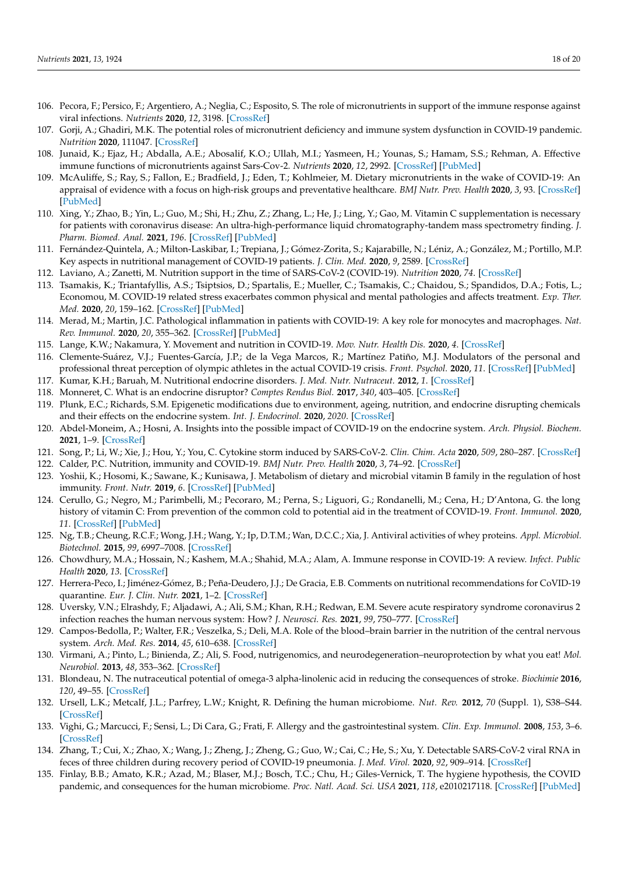- <span id="page-17-0"></span>106. Pecora, F.; Persico, F.; Argentiero, A.; Neglia, C.; Esposito, S. The role of micronutrients in support of the immune response against viral infections. *Nutrients* **2020**, *12*, 3198. [\[CrossRef\]](http://doi.org/10.3390/nu12103198)
- <span id="page-17-1"></span>107. Gorji, A.; Ghadiri, M.K. The potential roles of micronutrient deficiency and immune system dysfunction in COVID-19 pandemic. *Nutrition* **2020**, 111047. [\[CrossRef\]](http://doi.org/10.1016/j.nut.2020.111047)
- <span id="page-17-2"></span>108. Junaid, K.; Ejaz, H.; Abdalla, A.E.; Abosalif, K.O.; Ullah, M.I.; Yasmeen, H.; Younas, S.; Hamam, S.S.; Rehman, A. Effective immune functions of micronutrients against Sars-Cov-2. *Nutrients* **2020**, *12*, 2992. [\[CrossRef\]](http://doi.org/10.3390/nu12102992) [\[PubMed\]](http://www.ncbi.nlm.nih.gov/pubmed/33003648)
- <span id="page-17-3"></span>109. McAuliffe, S.; Ray, S.; Fallon, E.; Bradfield, J.; Eden, T.; Kohlmeier, M. Dietary micronutrients in the wake of COVID-19: An appraisal of evidence with a focus on high-risk groups and preventative healthcare. *BMJ Nutr. Prev. Health* **2020**, *3*, 93. [\[CrossRef\]](http://doi.org/10.1136/bmjnph-2020-000100) [\[PubMed\]](http://www.ncbi.nlm.nih.gov/pubmed/33235973)
- <span id="page-17-4"></span>110. Xing, Y.; Zhao, B.; Yin, L.; Guo, M.; Shi, H.; Zhu, Z.; Zhang, L.; He, J.; Ling, Y.; Gao, M. Vitamin C supplementation is necessary for patients with coronavirus disease: An ultra-high-performance liquid chromatography-tandem mass spectrometry finding. *J. Pharm. Biomed. Anal.* **2021**, *196*. [\[CrossRef\]](http://doi.org/10.1016/j.jpba.2021.113927) [\[PubMed\]](http://www.ncbi.nlm.nih.gov/pubmed/33549875)
- <span id="page-17-5"></span>111. Fernández-Quintela, A.; Milton-Laskibar, I.; Trepiana, J.; Gómez-Zorita, S.; Kajarabille, N.; Léniz, A.; González, M.; Portillo, M.P. Key aspects in nutritional management of COVID-19 patients. *J. Clin. Med.* **2020**, *9*, 2589. [\[CrossRef\]](http://doi.org/10.3390/jcm9082589)
- <span id="page-17-6"></span>112. Laviano, A.; Zanetti, M. Nutrition support in the time of SARS-CoV-2 (COVID-19). *Nutrition* **2020**, *74*. [\[CrossRef\]](http://doi.org/10.1016/j.nut.2020.110834)
- <span id="page-17-7"></span>113. Tsamakis, K.; Triantafyllis, A.S.; Tsiptsios, D.; Spartalis, E.; Mueller, C.; Tsamakis, C.; Chaidou, S.; Spandidos, D.A.; Fotis, L.; Economou, M. COVID-19 related stress exacerbates common physical and mental pathologies and affects treatment. *Exp. Ther. Med.* **2020**, *20*, 159–162. [\[CrossRef\]](http://doi.org/10.3892/etm.2020.8671) [\[PubMed\]](http://www.ncbi.nlm.nih.gov/pubmed/32509006)
- <span id="page-17-8"></span>114. Merad, M.; Martin, J.C. Pathological inflammation in patients with COVID-19: A key role for monocytes and macrophages. *Nat. Rev. Immunol.* **2020**, *20*, 355–362. [\[CrossRef\]](http://doi.org/10.1038/s41577-020-0331-4) [\[PubMed\]](http://www.ncbi.nlm.nih.gov/pubmed/32376901)
- <span id="page-17-9"></span>115. Lange, K.W.; Nakamura, Y. Movement and nutrition in COVID-19. *Mov. Nutr. Health Dis.* **2020**, *4*. [\[CrossRef\]](http://doi.org/10.5283/mnhd.33)
- <span id="page-17-10"></span>116. Clemente-Suárez, V.J.; Fuentes-García, J.P.; de la Vega Marcos, R.; Martínez Patiño, M.J. Modulators of the personal and professional threat perception of olympic athletes in the actual COVID-19 crisis. *Front. Psychol.* **2020**, *11*. [\[CrossRef\]](http://doi.org/10.3389/fpsyg.2020.01985) [\[PubMed\]](http://www.ncbi.nlm.nih.gov/pubmed/32849157)
- <span id="page-17-11"></span>117. Kumar, K.H.; Baruah, M. Nutritional endocrine disorders. *J. Med. Nutr. Nutraceut.* **2012**, *1*. [\[CrossRef\]](http://doi.org/10.4103/2278-019X.94627)
- <span id="page-17-12"></span>118. Monneret, C. What is an endocrine disruptor? *Comptes Rendus Biol.* **2017**, *340*, 403–405. [\[CrossRef\]](http://doi.org/10.1016/j.crvi.2017.07.004)
- <span id="page-17-13"></span>119. Plunk, E.C.; Richards, S.M. Epigenetic modifications due to environment, ageing, nutrition, and endocrine disrupting chemicals and their effects on the endocrine system. *Int. J. Endocrinol.* **2020**, *2020*. [\[CrossRef\]](http://doi.org/10.1155/2020/9251980)
- <span id="page-17-14"></span>120. Abdel-Moneim, A.; Hosni, A. Insights into the possible impact of COVID-19 on the endocrine system. *Arch. Physiol. Biochem.* **2021**, 1–9. [\[CrossRef\]](http://doi.org/10.1080/13813455.2021.1890131)
- <span id="page-17-15"></span>121. Song, P.; Li, W.; Xie, J.; Hou, Y.; You, C. Cytokine storm induced by SARS-CoV-2. *Clin. Chim. Acta* **2020**, *509*, 280–287. [\[CrossRef\]](http://doi.org/10.1016/j.cca.2020.06.017)
- <span id="page-17-16"></span>122. Calder, P.C. Nutrition, immunity and COVID-19. *BMJ Nutr. Prev. Health* **2020**, *3*, 74–92. [\[CrossRef\]](http://doi.org/10.1136/bmjnph-2020-000085)
- <span id="page-17-17"></span>123. Yoshii, K.; Hosomi, K.; Sawane, K.; Kunisawa, J. Metabolism of dietary and microbial vitamin B family in the regulation of host immunity. *Front. Nutr.* **2019**, *6*. [\[CrossRef\]](http://doi.org/10.3389/fnut.2019.00048) [\[PubMed\]](http://www.ncbi.nlm.nih.gov/pubmed/31058161)
- <span id="page-17-18"></span>124. Cerullo, G.; Negro, M.; Parimbelli, M.; Pecoraro, M.; Perna, S.; Liguori, G.; Rondanelli, M.; Cena, H.; D'Antona, G. the long history of vitamin C: From prevention of the common cold to potential aid in the treatment of COVID-19. *Front. Immunol.* **2020**, *11*. [\[CrossRef\]](http://doi.org/10.3389/fimmu.2020.574029) [\[PubMed\]](http://www.ncbi.nlm.nih.gov/pubmed/33193359)
- <span id="page-17-19"></span>125. Ng, T.B.; Cheung, R.C.F.; Wong, J.H.; Wang, Y.; Ip, D.T.M.; Wan, D.C.C.; Xia, J. Antiviral activities of whey proteins. *Appl. Microbiol. Biotechnol.* **2015**, *99*, 6997–7008. [\[CrossRef\]](http://doi.org/10.1007/s00253-015-6818-4)
- <span id="page-17-20"></span>126. Chowdhury, M.A.; Hossain, N.; Kashem, M.A.; Shahid, M.A.; Alam, A. Immune response in COVID-19: A review. *Infect. Public Health* **2020**, *13*. [\[CrossRef\]](http://doi.org/10.1016/j.jiph.2020.07.001)
- <span id="page-17-21"></span>127. Herrera-Peco, I.; Jiménez-Gómez, B.; Peña-Deudero, J.J.; De Gracia, E.B. Comments on nutritional recommendations for CoVID-19 quarantine. *Eur. J. Clin. Nutr.* **2021**, 1–2. [\[CrossRef\]](http://doi.org/10.1038/s41430-021-00861-1)
- <span id="page-17-22"></span>128. Uversky, V.N.; Elrashdy, F.; Aljadawi, A.; Ali, S.M.; Khan, R.H.; Redwan, E.M. Severe acute respiratory syndrome coronavirus 2 infection reaches the human nervous system: How? *J. Neurosci. Res.* **2021**, *99*, 750–777. [\[CrossRef\]](http://doi.org/10.1002/jnr.24752)
- <span id="page-17-23"></span>129. Campos-Bedolla, P.; Walter, F.R.; Veszelka, S.; Deli, M.A. Role of the blood–brain barrier in the nutrition of the central nervous system. *Arch. Med. Res.* **2014**, *45*, 610–638. [\[CrossRef\]](http://doi.org/10.1016/j.arcmed.2014.11.018)
- <span id="page-17-24"></span>130. Virmani, A.; Pinto, L.; Binienda, Z.; Ali, S. Food, nutrigenomics, and neurodegeneration–neuroprotection by what you eat! *Mol. Neurobiol.* **2013**, *48*, 353–362. [\[CrossRef\]](http://doi.org/10.1007/s12035-013-8498-3)
- <span id="page-17-25"></span>131. Blondeau, N. The nutraceutical potential of omega-3 alpha-linolenic acid in reducing the consequences of stroke. *Biochimie* **2016**, *120*, 49–55. [\[CrossRef\]](http://doi.org/10.1016/j.biochi.2015.06.005)
- <span id="page-17-26"></span>132. Ursell, L.K.; Metcalf, J.L.; Parfrey, L.W.; Knight, R. Defining the human microbiome. *Nut. Rev.* **2012**, *70* (Suppl. 1), S38–S44. [\[CrossRef\]](http://doi.org/10.1111/j.1753-4887.2012.00493.x)
- <span id="page-17-27"></span>133. Vighi, G.; Marcucci, F.; Sensi, L.; Di Cara, G.; Frati, F. Allergy and the gastrointestinal system. *Clin. Exp. Immunol.* **2008**, *153*, 3–6. [\[CrossRef\]](http://doi.org/10.1111/j.1365-2249.2008.03713.x)
- <span id="page-17-28"></span>134. Zhang, T.; Cui, X.; Zhao, X.; Wang, J.; Zheng, J.; Zheng, G.; Guo, W.; Cai, C.; He, S.; Xu, Y. Detectable SARS-CoV-2 viral RNA in feces of three children during recovery period of COVID-19 pneumonia. *J. Med. Virol.* **2020**, *92*, 909–914. [\[CrossRef\]](http://doi.org/10.1002/jmv.25795)
- <span id="page-17-29"></span>135. Finlay, B.B.; Amato, K.R.; Azad, M.; Blaser, M.J.; Bosch, T.C.; Chu, H.; Giles-Vernick, T. The hygiene hypothesis, the COVID pandemic, and consequences for the human microbiome. *Proc. Natl. Acad. Sci. USA* **2021**, *118*, e2010217118. [\[CrossRef\]](http://doi.org/10.1073/pnas.2010217118) [\[PubMed\]](http://www.ncbi.nlm.nih.gov/pubmed/33472859)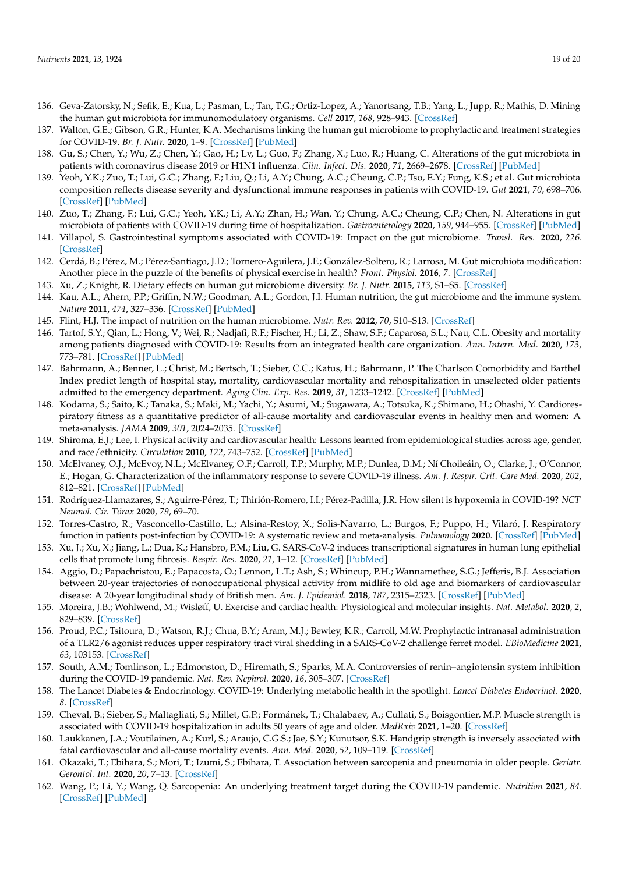- <span id="page-18-0"></span>136. Geva-Zatorsky, N.; Sefik, E.; Kua, L.; Pasman, L.; Tan, T.G.; Ortiz-Lopez, A.; Yanortsang, T.B.; Yang, L.; Jupp, R.; Mathis, D. Mining the human gut microbiota for immunomodulatory organisms. *Cell* **2017**, *168*, 928–943. [\[CrossRef\]](http://doi.org/10.1016/j.cell.2017.01.022)
- <span id="page-18-1"></span>137. Walton, G.E.; Gibson, G.R.; Hunter, K.A. Mechanisms linking the human gut microbiome to prophylactic and treatment strategies for COVID-19. *Br. J. Nutr.* **2020**, 1–9. [\[CrossRef\]](http://doi.org/10.1017/S0007114520003980) [\[PubMed\]](http://www.ncbi.nlm.nih.gov/pubmed/33032673)
- <span id="page-18-2"></span>138. Gu, S.; Chen, Y.; Wu, Z.; Chen, Y.; Gao, H.; Lv, L.; Guo, F.; Zhang, X.; Luo, R.; Huang, C. Alterations of the gut microbiota in patients with coronavirus disease 2019 or H1N1 influenza. *Clin. Infect. Dis.* **2020**, *71*, 2669–2678. [\[CrossRef\]](http://doi.org/10.1093/cid/ciaa709) [\[PubMed\]](http://www.ncbi.nlm.nih.gov/pubmed/32497191)
- <span id="page-18-3"></span>139. Yeoh, Y.K.; Zuo, T.; Lui, G.C.; Zhang, F.; Liu, Q.; Li, A.Y.; Chung, A.C.; Cheung, C.P.; Tso, E.Y.; Fung, K.S.; et al. Gut microbiota composition reflects disease severity and dysfunctional immune responses in patients with COVID-19. *Gut* **2021**, *70*, 698–706. [\[CrossRef\]](http://doi.org/10.1136/gutjnl-2020-323020) [\[PubMed\]](http://www.ncbi.nlm.nih.gov/pubmed/33431578)
- <span id="page-18-4"></span>140. Zuo, T.; Zhang, F.; Lui, G.C.; Yeoh, Y.K.; Li, A.Y.; Zhan, H.; Wan, Y.; Chung, A.C.; Cheung, C.P.; Chen, N. Alterations in gut microbiota of patients with COVID-19 during time of hospitalization. *Gastroenterology* **2020**, *159*, 944–955. [\[CrossRef\]](http://doi.org/10.1053/j.gastro.2020.05.048) [\[PubMed\]](http://www.ncbi.nlm.nih.gov/pubmed/32442562)
- <span id="page-18-5"></span>141. Villapol, S. Gastrointestinal symptoms associated with COVID-19: Impact on the gut microbiome. *Transl. Res.* **2020**, *226*. [\[CrossRef\]](http://doi.org/10.1016/j.trsl.2020.08.004)
- <span id="page-18-6"></span>142. Cerdá, B.; Pérez, M.; Pérez-Santiago, J.D.; Tornero-Aguilera, J.F.; González-Soltero, R.; Larrosa, M. Gut microbiota modification: Another piece in the puzzle of the benefits of physical exercise in health? *Front. Physiol.* **2016**, *7*. [\[CrossRef\]](http://doi.org/10.3389/fphys.2016.00051)
- <span id="page-18-7"></span>143. Xu, Z.; Knight, R. Dietary effects on human gut microbiome diversity. *Br. J. Nutr.* **2015**, *113*, S1–S5. [\[CrossRef\]](http://doi.org/10.1017/S0007114514004127)
- <span id="page-18-8"></span>144. Kau, A.L.; Ahern, P.P.; Griffin, N.W.; Goodman, A.L.; Gordon, J.I. Human nutrition, the gut microbiome and the immune system. *Nature* **2011**, *474*, 327–336. [\[CrossRef\]](http://doi.org/10.1038/nature10213) [\[PubMed\]](http://www.ncbi.nlm.nih.gov/pubmed/21677749)
- <span id="page-18-9"></span>145. Flint, H.J. The impact of nutrition on the human microbiome. *Nutr. Rev.* **2012**, *70*, S10–S13. [\[CrossRef\]](http://doi.org/10.1111/j.1753-4887.2012.00499.x)
- <span id="page-18-10"></span>146. Tartof, S.Y.; Qian, L.; Hong, V.; Wei, R.; Nadjafi, R.F.; Fischer, H.; Li, Z.; Shaw, S.F.; Caparosa, S.L.; Nau, C.L. Obesity and mortality among patients diagnosed with COVID-19: Results from an integrated health care organization. *Ann. Intern. Med.* **2020**, *173*, 773–781. [\[CrossRef\]](http://doi.org/10.7326/M20-3742) [\[PubMed\]](http://www.ncbi.nlm.nih.gov/pubmed/32783686)
- <span id="page-18-11"></span>147. Bahrmann, A.; Benner, L.; Christ, M.; Bertsch, T.; Sieber, C.C.; Katus, H.; Bahrmann, P. The Charlson Comorbidity and Barthel Index predict length of hospital stay, mortality, cardiovascular mortality and rehospitalization in unselected older patients admitted to the emergency department. *Aging Clin. Exp. Res.* **2019**, *31*, 1233–1242. [\[CrossRef\]](http://doi.org/10.1007/s40520-018-1067-x) [\[PubMed\]](http://www.ncbi.nlm.nih.gov/pubmed/30406920)
- <span id="page-18-12"></span>148. Kodama, S.; Saito, K.; Tanaka, S.; Maki, M.; Yachi, Y.; Asumi, M.; Sugawara, A.; Totsuka, K.; Shimano, H.; Ohashi, Y. Cardiorespiratory fitness as a quantitative predictor of all-cause mortality and cardiovascular events in healthy men and women: A meta-analysis. *JAMA* **2009**, *301*, 2024–2035. [\[CrossRef\]](http://doi.org/10.1001/jama.2009.681)
- <span id="page-18-13"></span>149. Shiroma, E.J.; Lee, I. Physical activity and cardiovascular health: Lessons learned from epidemiological studies across age, gender, and race/ethnicity. *Circulation* **2010**, *122*, 743–752. [\[CrossRef\]](http://doi.org/10.1161/CIRCULATIONAHA.109.914721) [\[PubMed\]](http://www.ncbi.nlm.nih.gov/pubmed/20713909)
- <span id="page-18-14"></span>150. McElvaney, O.J.; McEvoy, N.L.; McElvaney, O.F.; Carroll, T.P.; Murphy, M.P.; Dunlea, D.M.; Ní Choileáin, O.; Clarke, J.; O'Connor, E.; Hogan, G. Characterization of the inflammatory response to severe COVID-19 illness. *Am. J. Respir. Crit. Care Med.* **2020**, *202*, 812–821. [\[CrossRef\]](http://doi.org/10.1164/rccm.202005-1583OC) [\[PubMed\]](http://www.ncbi.nlm.nih.gov/pubmed/32584597)
- <span id="page-18-15"></span>151. Rodríguez-Llamazares, S.; Aguirre-Pérez, T.; Thirión-Romero, I.I.; Pérez-Padilla, J.R. How silent is hypoxemia in COVID-19? *NCT Neumol. Cir. Tórax* **2020**, *79*, 69–70.
- <span id="page-18-16"></span>152. Torres-Castro, R.; Vasconcello-Castillo, L.; Alsina-Restoy, X.; Solis-Navarro, L.; Burgos, F.; Puppo, H.; Vilaró, J. Respiratory function in patients post-infection by COVID-19: A systematic review and meta-analysis. *Pulmonology* **2020**. [\[CrossRef\]](http://doi.org/10.1016/j.pulmoe.2020.10.013) [\[PubMed\]](http://www.ncbi.nlm.nih.gov/pubmed/33262076)
- <span id="page-18-17"></span>153. Xu, J.; Xu, X.; Jiang, L.; Dua, K.; Hansbro, P.M.; Liu, G. SARS-CoV-2 induces transcriptional signatures in human lung epithelial cells that promote lung fibrosis. *Respir. Res.* **2020**, *21*, 1–12. [\[CrossRef\]](http://doi.org/10.1186/s12931-020-01445-6) [\[PubMed\]](http://www.ncbi.nlm.nih.gov/pubmed/32664949)
- <span id="page-18-18"></span>154. Aggio, D.; Papachristou, E.; Papacosta, O.; Lennon, L.T.; Ash, S.; Whincup, P.H.; Wannamethee, S.G.; Jefferis, B.J. Association between 20-year trajectories of nonoccupational physical activity from midlife to old age and biomarkers of cardiovascular disease: A 20-year longitudinal study of British men. *Am. J. Epidemiol.* **2018**, *187*, 2315–2323. [\[CrossRef\]](http://doi.org/10.1093/aje/kwy157) [\[PubMed\]](http://www.ncbi.nlm.nih.gov/pubmed/30124747)
- <span id="page-18-19"></span>155. Moreira, J.B.; Wohlwend, M.; Wisløff, U. Exercise and cardiac health: Physiological and molecular insights. *Nat. Metabol.* **2020**, *2*, 829–839. [\[CrossRef\]](http://doi.org/10.1038/s42255-020-0262-1)
- <span id="page-18-20"></span>156. Proud, P.C.; Tsitoura, D.; Watson, R.J.; Chua, B.Y.; Aram, M.J.; Bewley, K.R.; Carroll, M.W. Prophylactic intranasal administration of a TLR2/6 agonist reduces upper respiratory tract viral shedding in a SARS-CoV-2 challenge ferret model. *EBioMedicine* **2021**, *63*, 103153. [\[CrossRef\]](http://doi.org/10.1016/j.ebiom.2020.103153)
- <span id="page-18-21"></span>157. South, A.M.; Tomlinson, L.; Edmonston, D.; Hiremath, S.; Sparks, M.A. Controversies of renin–angiotensin system inhibition during the COVID-19 pandemic. *Nat. Rev. Nephrol.* **2020**, *16*, 305–307. [\[CrossRef\]](http://doi.org/10.1038/s41581-020-0279-4)
- <span id="page-18-22"></span>158. The Lancet Diabetes & Endocrinology. COVID-19: Underlying metabolic health in the spotlight. *Lancet Diabetes Endocrinol.* **2020**, *8*. [\[CrossRef\]](http://doi.org/10.1016/S2213-8587(20)30164-9)
- <span id="page-18-23"></span>159. Cheval, B.; Sieber, S.; Maltagliati, S.; Millet, G.P.; Formánek, T.; Chalabaev, A.; Cullati, S.; Boisgontier, M.P. Muscle strength is associated with COVID-19 hospitalization in adults 50 years of age and older. *MedRxiv* **2021**, 1–20. [\[CrossRef\]](http://doi.org/10.1101/2021.02.02.21250909)
- <span id="page-18-24"></span>160. Laukkanen, J.A.; Voutilainen, A.; Kurl, S.; Araujo, C.G.S.; Jae, S.Y.; Kunutsor, S.K. Handgrip strength is inversely associated with fatal cardiovascular and all-cause mortality events. *Ann. Med.* **2020**, *52*, 109–119. [\[CrossRef\]](http://doi.org/10.1080/07853890.2020.1748220)
- <span id="page-18-25"></span>161. Okazaki, T.; Ebihara, S.; Mori, T.; Izumi, S.; Ebihara, T. Association between sarcopenia and pneumonia in older people. *Geriatr. Gerontol. Int.* **2020**, *20*, 7–13. [\[CrossRef\]](http://doi.org/10.1111/ggi.13839)
- <span id="page-18-26"></span>162. Wang, P.; Li, Y.; Wang, Q. Sarcopenia: An underlying treatment target during the COVID-19 pandemic. *Nutrition* **2021**, *84*. [\[CrossRef\]](http://doi.org/10.1016/j.nut.2020.111104) [\[PubMed\]](http://www.ncbi.nlm.nih.gov/pubmed/33421827)